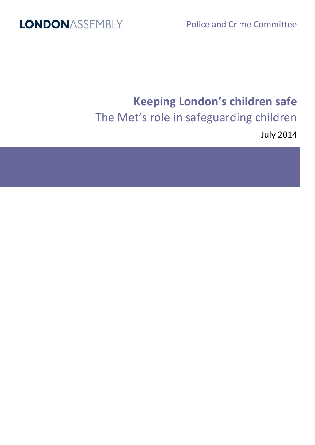Police and Crime Committee

## **LONDONASSEMBLY**

# **Keeping London's children safe** The Met's role in safeguarding children

July 2014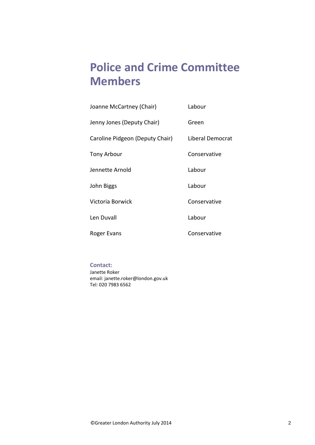## **Police and Crime Committee Members**

| Joanne McCartney (Chair)        | Labour           |
|---------------------------------|------------------|
| Jenny Jones (Deputy Chair)      | Green            |
| Caroline Pidgeon (Deputy Chair) | Liberal Democrat |
| Tony Arbour                     | Conservative     |
| Jennette Arnold                 | Labour           |
| John Biggs                      | Labour           |
| Victoria Borwick                | Conservative     |
| Len Duvall                      | Labour           |
| Roger Evans                     | Conservative     |

#### **Contact:**

Janette Roker email: janette.roker@london.gov.uk Tel: 020 7983 6562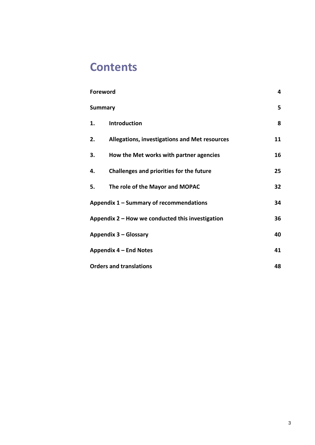## **Contents**

| <b>Foreword</b>                                    |                                               | 4  |
|----------------------------------------------------|-----------------------------------------------|----|
| <b>Summary</b>                                     |                                               | 5  |
| 1.                                                 | <b>Introduction</b>                           | 8  |
| 2.                                                 | Allegations, investigations and Met resources | 11 |
| 3.                                                 | How the Met works with partner agencies       | 16 |
| 4.                                                 | Challenges and priorities for the future      | 25 |
| 5.                                                 | The role of the Mayor and MOPAC               | 32 |
| Appendix 1 - Summary of recommendations            |                                               | 34 |
| Appendix $2$ – How we conducted this investigation |                                               | 36 |
| Appendix 3 - Glossary                              |                                               | 40 |
| Appendix 4 – End Notes                             |                                               | 41 |
| <b>Orders and translations</b>                     |                                               | 48 |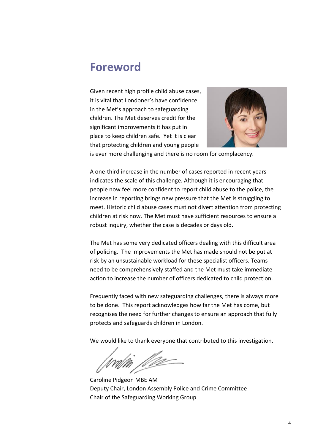### <span id="page-3-0"></span>**Foreword**

Given recent high profile child abuse cases, it is vital that Londoner's have confidence in the Met's approach to safeguarding children. The Met deserves credit for the significant improvements it has put in place to keep children safe. Yet it is clear that protecting children and young people



is ever more challenging and there is no room for complacency.

A one-third increase in the number of cases reported in recent years indicates the scale of this challenge. Although it is encouraging that people now feel more confident to report child abuse to the police, the increase in reporting brings new pressure that the Met is struggling to meet. Historic child abuse cases must not divert attention from protecting children at risk now. The Met must have sufficient resources to ensure a robust inquiry, whether the case is decades or days old.

The Met has some very dedicated officers dealing with this difficult area of policing. The improvements the Met has made should not be put at risk by an unsustainable workload for these specialist officers. Teams need to be comprehensively staffed and the Met must take immediate action to increase the number of officers dedicated to child protection.

Frequently faced with new safeguarding challenges, there is always more to be done. This report acknowledges how far the Met has come, but recognises the need for further changes to ensure an approach that fully protects and safeguards children in London.

We would like to thank everyone that contributed to this investigation.

g<br>Var

Caroline Pidgeon MBE AM Deputy Chair, London Assembly Police and Crime Committee Chair of the Safeguarding Working Group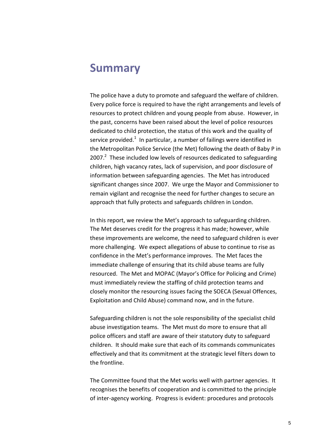### <span id="page-4-0"></span>**Summary**

The police have a duty to promote and safeguard the welfare of children. Every police force is required to have the right arrangements and levels of resources to protect children and young people from abuse. However, in the past, concerns have been raised about the level of police resources dedicated to child protection, the status of this work and the quality of service provided.<sup>1</sup> In particular, a number of failings were identified in the Metropolitan Police Service (the Met) following the death of Baby P in  $2007.<sup>2</sup>$  These included low levels of resources dedicated to safeguarding children, high vacancy rates, lack of supervision, and poor disclosure of information between safeguarding agencies. The Met has introduced significant changes since 2007. We urge the Mayor and Commissioner to remain vigilant and recognise the need for further changes to secure an approach that fully protects and safeguards children in London.

In this report, we review the Met's approach to safeguarding children. The Met deserves credit for the progress it has made; however, while these improvements are welcome, the need to safeguard children is ever more challenging. We expect allegations of abuse to continue to rise as confidence in the Met's performance improves. The Met faces the immediate challenge of ensuring that its child abuse teams are fully resourced. The Met and MOPAC (Mayor's Office for Policing and Crime) must immediately review the staffing of child protection teams and closely monitor the resourcing issues facing the SOECA (Sexual Offences, Exploitation and Child Abuse) command now, and in the future.

Safeguarding children is not the sole responsibility of the specialist child abuse investigation teams. The Met must do more to ensure that all police officers and staff are aware of their statutory duty to safeguard children. It should make sure that each of its commands communicates effectively and that its commitment at the strategic level filters down to the frontline.

The Committee found that the Met works well with partner agencies. It recognises the benefits of cooperation and is committed to the principle of inter-agency working. Progress is evident: procedures and protocols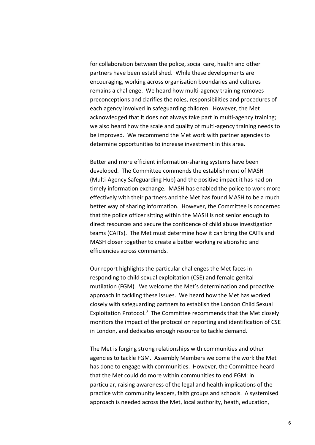for collaboration between the police, social care, health and other partners have been established. While these developments are encouraging, working across organisation boundaries and cultures remains a challenge. We heard how multi-agency training removes preconceptions and clarifies the roles, responsibilities and procedures of each agency involved in safeguarding children. However, the Met acknowledged that it does not always take part in multi-agency training; we also heard how the scale and quality of multi-agency training needs to be improved. We recommend the Met work with partner agencies to determine opportunities to increase investment in this area.

Better and more efficient information-sharing systems have been developed. The Committee commends the establishment of MASH (Multi-Agency Safeguarding Hub) and the positive impact it has had on timely information exchange. MASH has enabled the police to work more effectively with their partners and the Met has found MASH to be a much better way of sharing information. However, the Committee is concerned that the police officer sitting within the MASH is not senior enough to direct resources and secure the confidence of child abuse investigation teams (CAITs). The Met must determine how it can bring the CAITs and MASH closer together to create a better working relationship and efficiencies across commands.

Our report highlights the particular challenges the Met faces in responding to child sexual exploitation (CSE) and female genital mutilation (FGM). We welcome the Met's determination and proactive approach in tackling these issues. We heard how the Met has worked closely with safeguarding partners to establish the London Child Sexual Exploitation Protocol.<sup>3</sup> The Committee recommends that the Met closely monitors the impact of the protocol on reporting and identification of CSE in London, and dedicates enough resource to tackle demand.

The Met is forging strong relationships with communities and other agencies to tackle FGM. Assembly Members welcome the work the Met has done to engage with communities. However, the Committee heard that the Met could do more within communities to end FGM: in particular, raising awareness of the legal and health implications of the practice with community leaders, faith groups and schools. A systemised approach is needed across the Met, local authority, heath, education,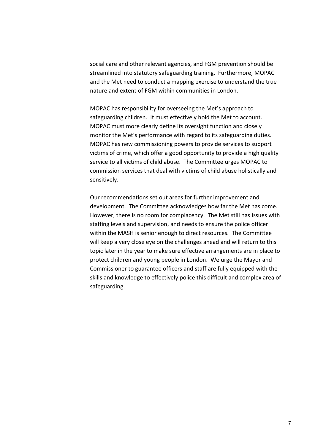social care and other relevant agencies, and FGM prevention should be streamlined into statutory safeguarding training. Furthermore, MOPAC and the Met need to conduct a mapping exercise to understand the true nature and extent of FGM within communities in London.

MOPAC has responsibility for overseeing the Met's approach to safeguarding children. It must effectively hold the Met to account. MOPAC must more clearly define its oversight function and closely monitor the Met's performance with regard to its safeguarding duties. MOPAC has new commissioning powers to provide services to support victims of crime, which offer a good opportunity to provide a high quality service to all victims of child abuse. The Committee urges MOPAC to commission services that deal with victims of child abuse holistically and sensitively.

Our recommendations set out areas for further improvement and development. The Committee acknowledges how far the Met has come. However, there is no room for complacency. The Met still has issues with staffing levels and supervision, and needs to ensure the police officer within the MASH is senior enough to direct resources. The Committee will keep a very close eye on the challenges ahead and will return to this topic later in the year to make sure effective arrangements are in place to protect children and young people in London. We urge the Mayor and Commissioner to guarantee officers and staff are fully equipped with the skills and knowledge to effectively police this difficult and complex area of safeguarding.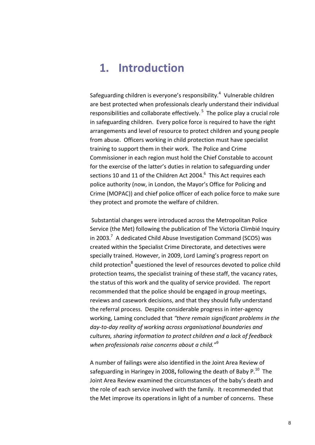## <span id="page-7-0"></span>**1. Introduction**

Safeguarding children is everyone's responsibility. $4$  Vulnerable children are best protected when professionals clearly understand their individual responsibilities and collaborate effectively.<sup>5</sup> The police play a crucial role in safeguarding children. Every police force is required to have the right arrangements and level of resource to protect children and young people from abuse. Officers working in child protection must have specialist training to support them in their work. The Police and Crime Commissioner in each region must hold the Chief Constable to account for the exercise of the latter's duties in relation to safeguarding under sections 10 and 11 of the Children Act 2004. $^6$  This Act requires each police authority (now, in London, the Mayor's Office for Policing and Crime (MOPAC)) and chief police officer of each police force to make sure they protect and promote the welfare of children.

Substantial changes were introduced across the Metropolitan Police Service (the Met) following the publication of The Victoria Climbié Inquiry in 2003.<sup>7</sup> A dedicated Child Abuse Investigation Command (SCO5) was created within the Specialist Crime Directorate, and detectives were specially trained. However, in 2009, Lord Laming's progress report on child protection<sup>8</sup> questioned the level of resources devoted to police child protection teams, the specialist training of these staff, the vacancy rates, the status of this work and the quality of service provided. The report recommended that the police should be engaged in group meetings, reviews and casework decisions, and that they should fully understand the referral process. Despite considerable progress in inter-agency working, Laming concluded that *"there remain significant problems in the day-to-day reality of working across organisational boundaries and cultures, sharing information to protect children and a lack of feedback when professionals raise concerns about a child."*<sup>9</sup>

A number of failings were also identified in the Joint Area Review of safeguarding in Haringey in 2008, following the death of Baby P.<sup>10</sup> The Joint Area Review examined the circumstances of the baby's death and the role of each service involved with the family. It recommended that the Met improve its operations in light of a number of concerns. These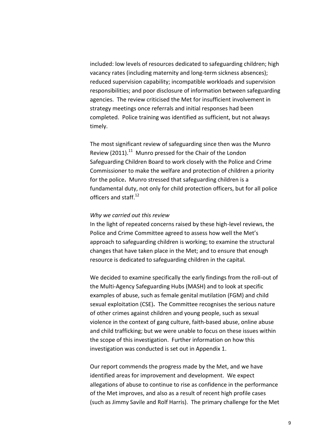included: low levels of resources dedicated to safeguarding children; high vacancy rates (including maternity and long-term sickness absences); reduced supervision capability; incompatible workloads and supervision responsibilities; and poor disclosure of information between safeguarding agencies. The review criticised the Met for insufficient involvement in strategy meetings once referrals and initial responses had been completed. Police training was identified as sufficient, but not always timely.

The most significant review of safeguarding since then was the Munro Review (2011).<sup>11</sup> Munro pressed for the Chair of the London Safeguarding Children Board to work closely with the Police and Crime Commissioner to make the welfare and protection of children a priority for the police**.** Munro stressed that safeguarding children is a fundamental duty, not only for child protection officers, but for all police officers and staff.<sup>12</sup>

#### *Why we carried out this review*

In the light of repeated concerns raised by these high-level reviews, the Police and Crime Committee agreed to assess how well the Met's approach to safeguarding children is working; to examine the structural changes that have taken place in the Met; and to ensure that enough resource is dedicated to safeguarding children in the capital.

We decided to examine specifically the early findings from the roll-out of the Multi-Agency Safeguarding Hubs (MASH) and to look at specific examples of abuse, such as female genital mutilation (FGM) and child sexual exploitation (CSE)**.** The Committee recognises the serious nature of other crimes against children and young people, such as sexual violence in the context of gang culture, faith-based abuse, online abuse and child trafficking; but we were unable to focus on these issues within the scope of this investigation. Further information on how this investigation was conducted is set out in Appendix 1.

Our report commends the progress made by the Met, and we have identified areas for improvement and development. We expect allegations of abuse to continue to rise as confidence in the performance of the Met improves, and also as a result of recent high profile cases (such as Jimmy Savile and Rolf Harris). The primary challenge for the Met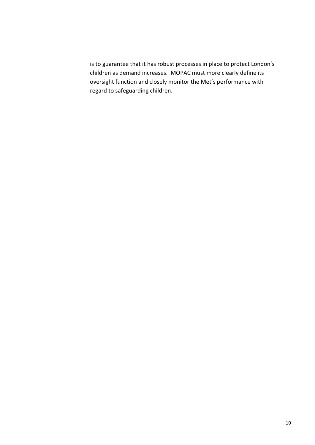is to guarantee that it has robust processes in place to protect London's children as demand increases. MOPAC must more clearly define its oversight function and closely monitor the Met's performance with regard to safeguarding children.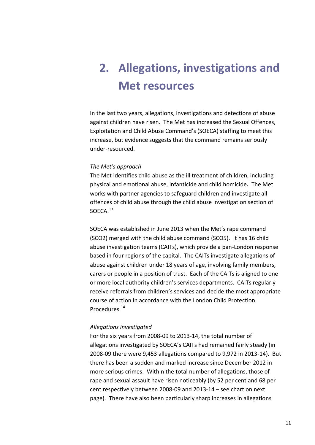# <span id="page-10-0"></span>**2. Allegations, investigations and Met resources**

In the last two years, allegations, investigations and detections of abuse against children have risen. The Met has increased the Sexual Offences, Exploitation and Child Abuse Command's (SOECA) staffing to meet this increase, but evidence suggests that the command remains seriously under-resourced.

#### *The Met's approach*

The Met identifies child abuse as the ill treatment of children, including physical and emotional abuse, infanticide and child homicide**.** The Met works with partner agencies to safeguard children and investigate all offences of child abuse through the child abuse investigation section of SOECA.<sup>13</sup>

SOECA was established in June 2013 when the Met's rape command (SCO2) merged with the child abuse command (SCO5). It has 16 child abuse investigation teams (CAITs), which provide a pan-London response based in four regions of the capital. The CAITs investigate allegations of abuse against children under 18 years of age, involving family members, carers or people in a position of trust. Each of the CAITs is aligned to one or more local authority children's services departments. CAITs regularly receive referrals from children's services and decide the most appropriate course of action in accordance with the London Child Protection Procedures.<sup>14</sup>

#### *Allegations investigated*

For the six years from 2008-09 to 2013-14, the total number of allegations investigated by SOECA's CAITs had remained fairly steady (in 2008-09 there were 9,453 allegations compared to 9,972 in 2013-14). But there has been a sudden and marked increase since December 2012 in more serious crimes. Within the total number of allegations, those of rape and sexual assault have risen noticeably (by 52 per cent and 68 per cent respectively between 2008-09 and 2013-14 – see chart on next page). There have also been particularly sharp increases in allegations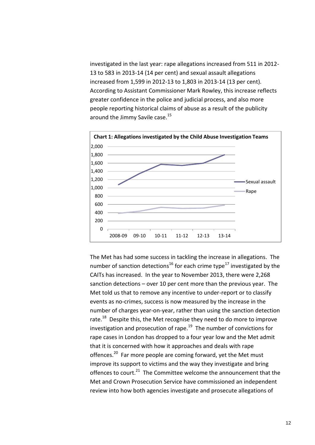investigated in the last year: rape allegations increased from 511 in 2012- 13 to 583 in 2013-14 (14 per cent) and sexual assault allegations increased from 1,599 in 2012-13 to 1,803 in 2013-14 (13 per cent). According to Assistant Commissioner Mark Rowley, this increase reflects greater confidence in the police and judicial process, and also more people reporting historical claims of abuse as a result of the publicity around the Jimmy Savile case.<sup>15</sup>



The Met has had some success in tackling the increase in allegations. The number of sanction detections<sup>16</sup> for each crime type<sup>17</sup> investigated by the CAITs has increased. In the year to November 2013, there were 2,268 sanction detections – over 10 per cent more than the previous year. The Met told us that to remove any incentive to under-report or to classify events as no-crimes, success is now measured by the increase in the number of charges year-on-year, rather than using the sanction detection rate.<sup>18</sup> Despite this, the Met recognise they need to do more to improve investigation and prosecution of rape.<sup>19</sup> The number of convictions for rape cases in London has dropped to a four year low and the Met admit that it is concerned with how it approaches and deals with rape offences.<sup>20</sup> Far more people are coming forward, yet the Met must improve its support to victims and the way they investigate and bring offences to court.<sup>21</sup> The Committee welcome the announcement that the Met and Crown Prosecution Service have commissioned an independent review into how both agencies investigate and prosecute allegations of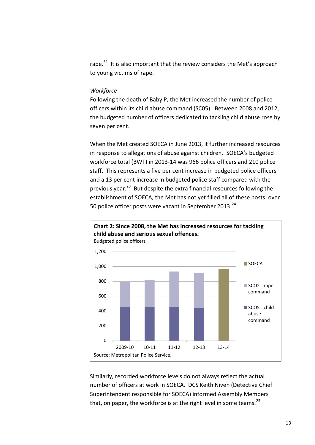rape.<sup>22</sup> It is also important that the review considers the Met's approach to young victims of rape.

#### *Workforce*

Following the death of Baby P, the Met increased the number of police officers within its child abuse command (SC05). Between 2008 and 2012, the budgeted number of officers dedicated to tackling child abuse rose by seven per cent.

When the Met created SOECA in June 2013, it further increased resources in response to allegations of abuse against children. SOECA's budgeted workforce total (BWT) in 2013-14 was 966 police officers and 210 police staff. This represents a five per cent increase in budgeted police officers and a 13 per cent increase in budgeted police staff compared with the previous year.<sup>23</sup> But despite the extra financial resources following the establishment of SOECA, the Met has not yet filled all of these posts: over 50 police officer posts were vacant in September 2013.<sup>24</sup>



Similarly, recorded workforce levels do not always reflect the actual number of officers at work in SOECA. DCS Keith Niven (Detective Chief Superintendent responsible for SOECA) informed Assembly Members that, on paper, the workforce is at the right level in some teams.  $25$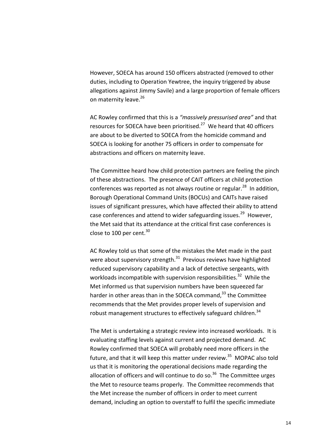However, SOECA has around 150 officers abstracted (removed to other duties, including to Operation Yewtree, the inquiry triggered by abuse allegations against Jimmy Savile) and a large proportion of female officers on maternity leave.<sup>26</sup>

AC Rowley confirmed that this is a *"massively pressurised area"* and that resources for SOECA have been prioritised.<sup>27</sup> We heard that 40 officers are about to be diverted to SOECA from the homicide command and SOECA is looking for another 75 officers in order to compensate for abstractions and officers on maternity leave.

The Committee heard how child protection partners are feeling the pinch of these abstractions.The presence of CAIT officers at child protection conferences was reported as not always routine or regular.<sup>28</sup> In addition, Borough Operational Command Units (BOCUs) and CAITs have raised issues of significant pressures, which have affected their ability to attend case conferences and attend to wider safeguarding issues.<sup>29</sup> However, the Met said that its attendance at the critical first case conferences is close to 100 per cent. $30$ 

AC Rowley told us that some of the mistakes the Met made in the past were about supervisory strength.<sup>31</sup> Previous reviews have highlighted reduced supervisory capability and a lack of detective sergeants, with workloads incompatible with supervision responsibilities.<sup>32</sup> While the Met informed us that supervision numbers have been squeezed far harder in other areas than in the SOECA command, $^{33}$  the Committee recommends that the Met provides proper levels of supervision and robust management structures to effectively safeguard children.<sup>34</sup>

The Met is undertaking a strategic review into increased workloads. It is evaluating staffing levels against current and projected demand.AC Rowley confirmed that SOECA will probably need more officers in the future, and that it will keep this matter under review.<sup>35</sup> MOPAC also told us that it is monitoring the operational decisions made regarding the allocation of officers and will continue to do so.<sup>36</sup> The Committee urges the Met to resource teams properly. The Committee recommends that the Met increase the number of officers in order to meet current demand, including an option to overstaff to fulfil the specific immediate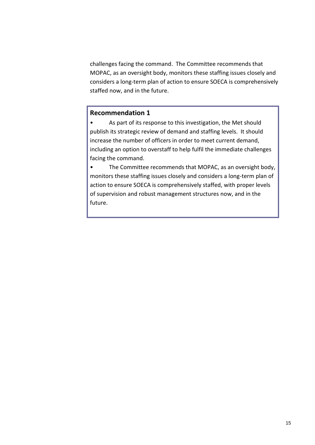challenges facing the command. The Committee recommends that MOPAC, as an oversight body, monitors these staffing issues closely and considers a long-term plan of action to ensure SOECA is comprehensively staffed now, and in the future.

### **Recommendation 1**

• As part of its response to this investigation, the Met should publish its strategic review of demand and staffing levels. It should increase the number of officers in order to meet current demand, including an option to overstaff to help fulfil the immediate challenges facing the command.

• The Committee recommends that MOPAC, as an oversight body, monitors these staffing issues closely and considers a long-term plan of action to ensure SOECA is comprehensively staffed, with proper levels of supervision and robust management structures now, and in the future.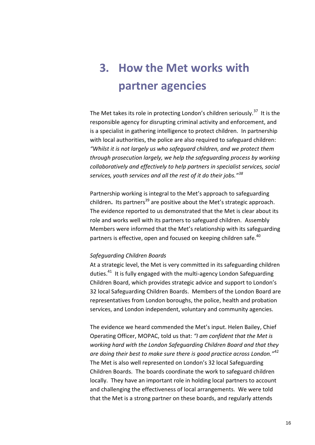# <span id="page-15-0"></span>**3. How the Met works with partner agencies**

The Met takes its role in protecting London's children seriously.<sup>37</sup> It is the responsible agency for disrupting criminal activity and enforcement, and is a specialist in gathering intelligence to protect children. In partnership with local authorities, the police are also required to safeguard children: *"Whilst it is not largely us who safeguard children, and we protect them through prosecution largely, we help the safeguarding process by working collaboratively and effectively to help partners in specialist services, social services, youth services and all the rest of it do their jobs."<sup>38</sup>*

Partnership working is integral to the Met's approach to safeguarding children. Its partners<sup>39</sup> are positive about the Met's strategic approach. The evidence reported to us demonstrated that the Met is clear about its role and works well with its partners to safeguard children.Assembly Members were informed that the Met's relationship with its safeguarding partners is effective, open and focused on keeping children safe.<sup>40</sup>

#### *Safeguarding Children Boards*

At a strategic level, the Met is very committed in its safeguarding children duties.<sup>41</sup> It is fully engaged with the multi-agency London Safeguarding Children Board, which provides strategic advice and support to London's 32 local Safeguarding Children Boards. Members of the London Board are representatives from London boroughs, the police, health and probation services, and London independent, voluntary and community agencies.

The evidence we heard commended the Met's input. Helen Bailey, Chief Operating Officer, MOPAC, told us that: *"I am confident that the Met is working hard with the London Safeguarding Children Board and that they are doing their best to make sure there is good practice across London."*<sup>42</sup> The Met is also well represented on London's 32 local Safeguarding Children Boards. The boards coordinate the work to safeguard children locally. They have an important role in holding local partners to account and challenging the effectiveness of local arrangements. We were told that the Met is a strong partner on these boards, and regularly attends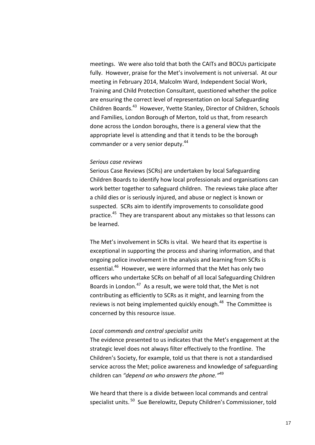meetings. We were also told that both the CAITs and BOCUs participate fully. However, praise for the Met's involvement is not universal. At our meeting in February 2014, Malcolm Ward, Independent Social Work, Training and Child Protection Consultant, questioned whether the police are ensuring the correct level of representation on local Safeguarding Children Boards.<sup>43</sup> However, Yvette Stanley, Director of Children, Schools and Families, London Borough of Merton, told us that, from research done across the London boroughs, there is a general view that the appropriate level is attending and that it tends to be the borough commander or a very senior deputy.<sup>44</sup>

#### *Serious case reviews*

Serious Case Reviews (SCRs) are undertaken by local Safeguarding Children Boards to identify how local professionals and organisations can work better together to safeguard children. The reviews take place after a child dies or is seriously injured, and abuse or neglect is known or suspected. SCRs aim to identify improvements to consolidate good practice.<sup>45</sup> They are transparent about any mistakes so that lessons can be learned.

The Met's involvement in SCRs is vital. We heard that its expertise is exceptional in supporting the process and sharing information, and that ongoing police involvement in the analysis and learning from SCRs is essential.<sup>46</sup> However, we were informed that the Met has only two officers who undertake SCRs on behalf of all local Safeguarding Children Boards in London.<sup>47</sup> As a result, we were told that, the Met is not contributing as efficiently to SCRs as it might, and learning from the reviews is not being implemented quickly enough.<sup>48</sup> The Committee is concerned by this resource issue.

#### *Local commands and central specialist units*

The evidence presented to us indicates that the Met's engagement at the strategic level does not always filter effectively to the frontline. The Children's Society, for example, told us that there is not a standardised service across the Met; police awareness and knowledge of safeguarding children can *"depend on who answers the phone."*<sup>49</sup>

We heard that there is a divide between local commands and central specialist units. <sup>50</sup> Sue Berelowitz, Deputy Children's Commissioner, told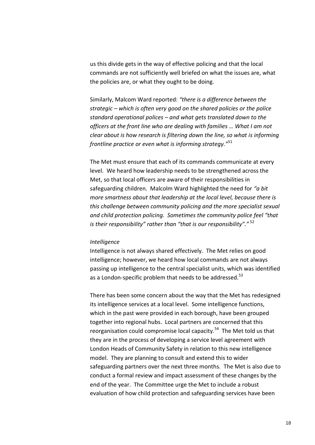us this divide gets in the way of effective policing and that the local commands are not sufficiently well briefed on what the issues are, what the policies are, or what they ought to be doing.

Similarly, Malcom Ward reported: *"there is a difference between the strategic – which is often very good on the shared policies or the police standard operational polices – and what gets translated down to the officers at the front line who are dealing with families … What I am not clear about is how research is filtering down the line, so what is informing frontline practice or even what is informing strategy."*<sup>51</sup>

The Met must ensure that each of its commands communicate at every level. We heard how leadership needs to be strengthened across the Met, so that local officers are aware of their responsibilities in safeguarding children. Malcolm Ward highlighted the need for *"a bit more smartness about that leadership at the local level, because there is this challenge between community policing and the more specialist sexual and child protection policing. Sometimes the community police feel "that is their responsibility" rather than "that is our responsibility"."* <sup>52</sup>

#### *Intelligence*

Intelligence is not always shared effectively. The Met relies on good intelligence; however, we heard how local commands are not always passing up intelligence to the central specialist units, which was identified as a London-specific problem that needs to be addressed.<sup>53</sup>

There has been some concern about the way that the Met has redesigned its intelligence services at a local level. Some intelligence functions, which in the past were provided in each borough, have been grouped together into regional hubs. Local partners are concerned that this reorganisation could compromise local capacity.<sup>54</sup> The Met told us that they are in the process of developing a service level agreement with London Heads of Community Safety in relation to this new intelligence model. They are planning to consult and extend this to wider safeguarding partners over the next three months. The Met is also due to conduct a formal review and impact assessment of these changes by the end of the year. The Committee urge the Met to include a robust evaluation of how child protection and safeguarding services have been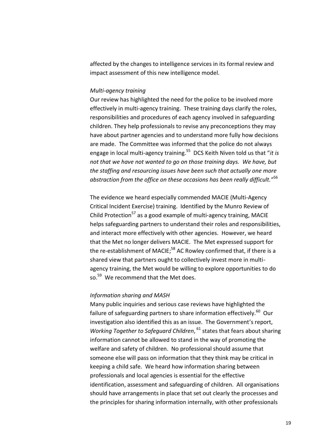affected by the changes to intelligence services in its formal review and impact assessment of this new intelligence model.

#### *Multi-agency training*

Our review has highlighted the need for the police to be involved more effectively in multi-agency training. These training days clarify the roles, responsibilities and procedures of each agency involved in safeguarding children. They help professionals to revise any preconceptions they may have about partner agencies and to understand more fully how decisions are made. The Committee was informed that the police do not always engage in local multi-agency training.<sup>55</sup> DCS Keith Niven told us that "*it is not that we have not wanted to go on those training days. We have, but the staffing and resourcing issues have been such that actually one more abstraction from the office on these occasions has been really difficult."*<sup>56</sup>

The evidence we heard especially commended MACIE (Multi-Agency Critical Incident Exercise) training. Identified by the Munro Review of Child Protection<sup>57</sup> as a good example of multi-agency training, MACIE helps safeguarding partners to understand their roles and responsibilities, and interact more effectively with other agencies. However, we heard that the Met no longer delivers MACIE. The Met expressed support for the re-establishment of MACIE;<sup>58</sup> AC Rowley confirmed that, if there is a shared view that partners ought to collectively invest more in multiagency training, the Met would be willing to explore opportunities to do so.<sup>59</sup> We recommend that the Met does.

#### *Information sharing and MASH*

Many public inquiries and serious case reviews have highlighted the failure of safeguarding partners to share information effectively.<sup>60</sup> Our investigation also identified this as an issue. The Government's report, Working Together to Safeguard Children, <sup>61</sup> states that fears about sharing information cannot be allowed to stand in the way of promoting the welfare and safety of children. No professional should assume that someone else will pass on information that they think may be critical in keeping a child safe. We heard how information sharing between professionals and local agencies is essential for the effective identification, assessment and safeguarding of children. All organisations should have arrangements in place that set out clearly the processes and the principles for sharing information internally, with other professionals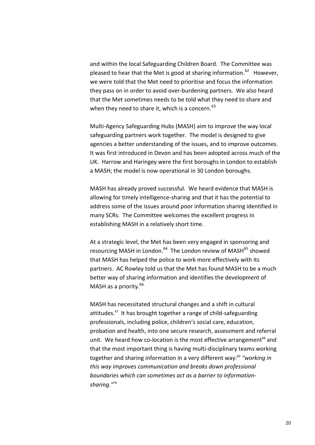and within the local Safeguarding Children Board. The Committee was pleased to hear that the Met is good at sharing information.<sup>62</sup> However, we were told that the Met need to prioritise and focus the information they pass on in order to avoid over-burdening partners. We also heard that the Met sometimes needs to be told what they need to share and when they need to share it, which is a concern.  $63$ 

Multi-Agency Safeguarding Hubs (MASH) aim to improve the way local safeguarding partners work together. The model is designed to give agencies a better understanding of the issues, and to improve outcomes. It was first introduced in Devon and has been adopted across much of the UK. Harrow and Haringey were the first boroughs in London to establish a MASH; the model is now operational in 30 London boroughs.

MASH has already proved successful. We heard evidence that MASH is allowing for timely intelligence-sharing and that it has the potential to address some of the issues around poor information sharing identified in many SCRs. The Committee welcomes the excellent progress in establishing MASH in a relatively short time.

At a strategic level, the Met has been very engaged in sponsoring and resourcing MASH in London.<sup>64</sup> The London review of MASH<sup>65</sup> showed that MASH has helped the police to work more effectively with its partners. AC Rowley told us that the Met has found MASH to be a much better way of sharing information and identifies the development of MASH as a priority.<sup>66</sup>

MASH has necessitated structural changes and a shift in cultural attitudes.<sup>67</sup> It has brought together a range of child-safeguarding professionals, including police, children's social care, education, probation and health, into one secure research, assessment and referral unit. We heard how co-location is the most effective arrangement<sup>68</sup> and that the most important thing is having multi-disciplinary teams working together and sharing information in a very different way:<sup>69</sup> "working in *this way improves communication and breaks down professional boundaries which can sometimes act as a barrier to informationsharing."*70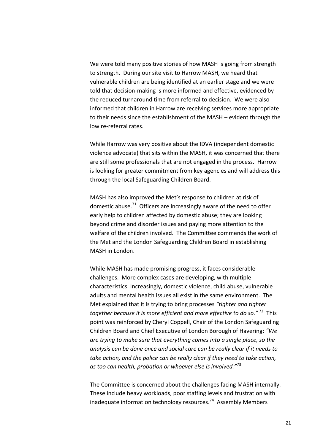We were told many positive stories of how MASH is going from strength to strength. During our site visit to Harrow MASH, we heard that vulnerable children are being identified at an earlier stage and we were told that decision-making is more informed and effective, evidenced by the reduced turnaround time from referral to decision. We were also informed that children in Harrow are receiving services more appropriate to their needs since the establishment of the MASH – evident through the low re-referral rates.

While Harrow was very positive about the IDVA (independent domestic violence advocate) that sits within the MASH, it was concerned that there are still some professionals that are not engaged in the process. Harrow is looking for greater commitment from key agencies and will address this through the local Safeguarding Children Board.

MASH has also improved the Met's response to children at risk of domestic abuse.<sup>71</sup> Officers are increasingly aware of the need to offer early help to children affected by domestic abuse; they are looking beyond crime and disorder issues and paying more attention to the welfare of the children involved. The Committee commends the work of the Met and the London Safeguarding Children Board in establishing MASH in London.

While MASH has made promising progress, it faces considerable challenges. More complex cases are developing, with multiple characteristics. Increasingly, domestic violence, child abuse, vulnerable adults and mental health issues all exist in the same environment. The Met explained that it is trying to bring processes *"tighter and tighter together because it is more efficient and more effective to do so."* <sup>72</sup> This point was reinforced by Cheryl Coppell, Chair of the London Safeguarding Children Board and Chief Executive of London Borough of Havering: *"We are trying to make sure that everything comes into a single place, so the analysis can be done once and social care can be really clear if it needs to take action, and the police can be really clear if they need to take action, as too can health, probation or whoever else is involved."*<sup>73</sup>

The Committee is concerned about the challenges facing MASH internally. These include heavy workloads, poor staffing levels and frustration with inadequate information technology resources.<sup>74</sup> Assembly Members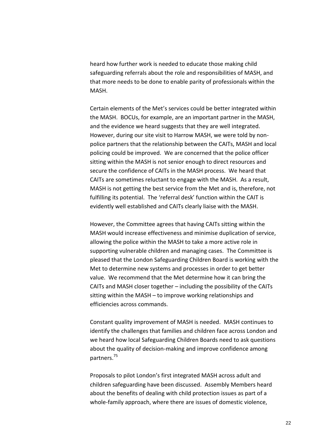heard how further work is needed to educate those making child safeguarding referrals about the role and responsibilities of MASH, and that more needs to be done to enable parity of professionals within the MASH.

Certain elements of the Met's services could be better integrated within the MASH. BOCUs, for example, are an important partner in the MASH, and the evidence we heard suggests that they are well integrated. However, during our site visit to Harrow MASH, we were told by nonpolice partners that the relationship between the CAITs, MASH and local policing could be improved. We are concerned that the police officer sitting within the MASH is not senior enough to direct resources and secure the confidence of CAITs in the MASH process. We heard that CAITs are sometimes reluctant to engage with the MASH. As a result, MASH is not getting the best service from the Met and is, therefore, not fulfilling its potential. The 'referral desk' function within the CAIT is evidently well established and CAITs clearly liaise with the MASH.

However, the Committee agrees that having CAITs sitting within the MASH would increase effectiveness and minimise duplication of service, allowing the police within the MASH to take a more active role in supporting vulnerable children and managing cases. The Committee is pleased that the London Safeguarding Children Board is working with the Met to determine new systems and processes in order to get better value. We recommend that the Met determine how it can bring the CAITs and MASH closer together – including the possibility of the CAITs sitting within the MASH – to improve working relationships and efficiencies across commands.

Constant quality improvement of MASH is needed.MASH continues to identify the challenges that families and children face across London and we heard how local Safeguarding Children Boards need to ask questions about the quality of decision-making and improve confidence among partners.<sup>75</sup> 

Proposals to pilot London's first integrated MASH across adult and children safeguarding have been discussed. Assembly Members heard about the benefits of dealing with child protection issues as part of a whole-family approach, where there are issues of domestic violence,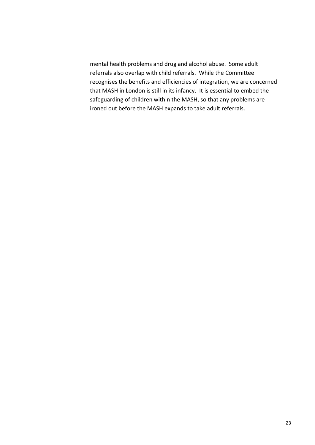mental health problems and drug and alcohol abuse. Some adult referrals also overlap with child referrals. While the Committee recognises the benefits and efficiencies of integration, we are concerned that MASH in London is still in its infancy. It is essential to embed the safeguarding of children within the MASH, so that any problems are ironed out before the MASH expands to take adult referrals.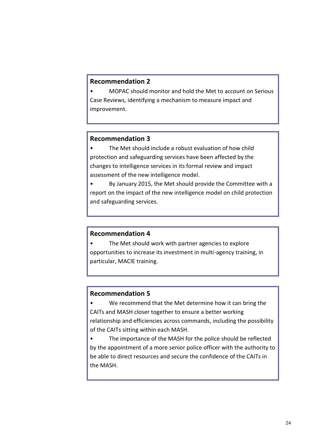### **Recommendation 2**

• MOPAC should monitor and hold the Met to account on Serious Case Reviews, identifying a mechanism to measure impact and improvement.

### **Recommendation 3**

• The Met should include a robust evaluation of how child protection and safeguarding services have been affected by the changes to intelligence services in its formal review and impact assessment of the new intelligence model.

• By January 2015, the Met should provide the Committee with a report on the impact of the new intelligence model on child protection and safeguarding services.

#### **Recommendation 4**

The Met should work with partner agencies to explore opportunities to increase its investment in multi-agency training, in particular, MACIE training.

### **Recommendation 5**

We recommend that the Met determine how it can bring the CAITs and MASH closer together to ensure a better working relationship and efficiencies across commands, including the possibility of the CAITs sitting within each MASH.

The importance of the MASH for the police should be reflected by the appointment of a more senior police officer with the authority to be able to direct resources and secure the confidence of the CAITs in the MASH.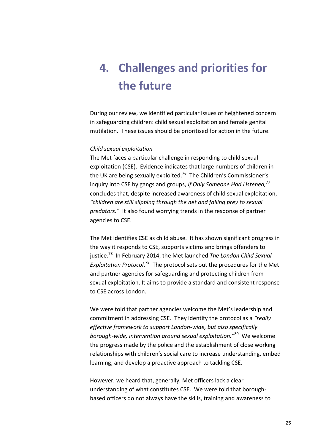# <span id="page-24-0"></span>**4. Challenges and priorities for the future**

During our review, we identified particular issues of heightened concern in safeguarding children: child sexual exploitation and female genital mutilation. These issues should be prioritised for action in the future.

#### *Child sexual exploitation*

The Met faces a particular challenge in responding to child sexual exploitation (CSE). Evidence indicates that large numbers of children in the UK are being sexually exploited.<sup>76</sup> The Children's Commissioner's inquiry into CSE by gangs and groups, *If Only Someone Had Listened,*<sup>77</sup> concludes that, despite increased awareness of child sexual exploitation, *"children are still slipping through the net and falling prey to sexual predators."* It also found worrying trends in the response of partner agencies to CSE.

The Met identifies CSE as child abuse. It has shown significant progress in the way it responds to CSE, supports victims and brings offenders to justice.<sup>78</sup> In February 2014, the Met launched *The London Child Sexual*  Exploitation Protocol.<sup>79</sup> The protocol sets out the procedures for the Met and partner agencies for safeguarding and protecting children from sexual exploitation. It aims to provide a standard and consistent response to CSE across London.

We were told that partner agencies welcome the Met's leadership and commitment in addressing CSE.They identify the protocol as a *"really effective framework to support London-wide, but also specifically borough-wide, intervention around sexual exploitation."*<sup>80</sup> We welcome the progress made by the police and the establishment of close working relationships with children's social care to increase understanding, embed learning, and develop a proactive approach to tackling CSE.

However, we heard that, generally, Met officers lack a clear understanding of what constitutes CSE. We were told that boroughbased officers do not always have the skills, training and awareness to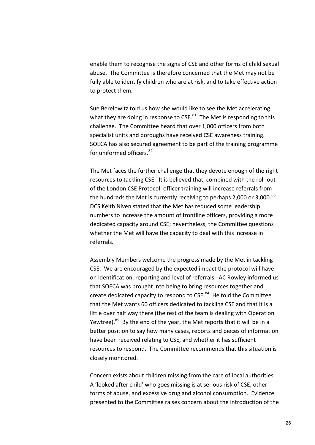enable them to recognise the signs of CSE and other forms of child sexual abuse. The Committee is therefore concerned that the Met may not be fully able to identify children who are at risk, and to take effective action to protect them.

Sue Berelowitz told us how she would like to see the Met accelerating what they are doing in response to  $CSE$ .<sup>81</sup> The Met is responding to this challenge. The Committee heard that over 1,000 officers from both specialist units and boroughs have received CSE awareness training. SOECA has also secured agreement to be part of the training programme for uniformed officers. <sup>82</sup>

The Met faces the further challenge that they devote enough of the right resources to tackling CSE. It is believed that, combined with the roll-out of the London CSE Protocol, officer training will increase referrals from the hundreds the Met is currently receiving to perhaps 2,000 or 3,000. $^{83}$ DCS Keith Niven stated that the Met has reduced some leadership numbers to increase the amount of frontline officers, providing a more dedicated capacity around CSE; nevertheless, the Committee questions whether the Met will have the capacity to deal with this increase in referrals.

Assembly Members welcome the progress made by the Met in tackling CSE. We are encouraged by the expected impact the protocol will have on identification, reporting and level of referrals.AC Rowley informed us that SOECA was brought into being to bring resources together and create dedicated capacity to respond to CSE.<sup>84</sup> He told the Committee that the Met wants 60 officers dedicated to tackling CSE and that it is a little over half way there (the rest of the team is dealing with Operation Yewtree).<sup>85</sup> By the end of the year, the Met reports that it will be in a better position to say how many cases, reports and pieces of information have been received relating to CSE, and whether it has sufficient resources to respond. The Committee recommends that this situation is closely monitored.

Concern exists about children missing from the care of local authorities. A 'looked after child' who goes missing is at serious risk of CSE, other forms of abuse, and excessive drug and alcohol consumption. Evidence presented to the Committee raises concern about the introduction of the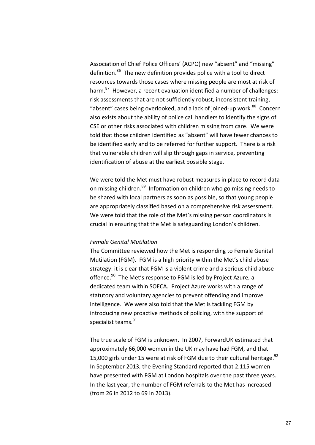Association of Chief Police Officers' (ACPO) new "absent" and "missing" definition.<sup>86</sup> The new definition provides police with a tool to direct resources towards those cases where missing people are most at risk of harm.<sup>87</sup> However, a recent evaluation identified a number of challenges: risk assessments that are not sufficiently robust, inconsistent training, "absent" cases being overlooked, and a lack of joined-up work.<sup>88</sup> Concern also exists about the ability of police call handlers to identify the signs of CSE or other risks associated with children missing from care. We were told that those children identified as "absent" will have fewer chances to be identified early and to be referred for further support. There is a risk that vulnerable children will slip through gaps in service, preventing identification of abuse at the earliest possible stage.

We were told the Met must have robust measures in place to record data on missing children.<sup>89</sup> Information on children who go missing needs to be shared with local partners as soon as possible, so that young people are appropriately classified based on a comprehensive risk assessment. We were told that the role of the Met's missing person coordinators is crucial in ensuring that the Met is safeguarding London's children.

#### *Female Genital Mutilation*

The Committee reviewed how the Met is responding to Female Genital Mutilation (FGM).FGM is a high priority within the Met's child abuse strategy: it is clear that FGM is a violent crime and a serious child abuse offence.<sup>90</sup> The Met's response to FGM is led by Project Azure, a dedicated team within SOECA. Project Azure works with a range of statutory and voluntary agencies to prevent offending and improve intelligence. We were also told that the Met is tackling FGM by introducing new proactive methods of policing, with the support of specialist teams.<sup>91</sup>

The true scale of FGM is unknown**.** In 2007, ForwardUK estimated that approximately 66,000 women in the UK may have had FGM, and that 15,000 girls under 15 were at risk of FGM due to their cultural heritage. $92$ In September 2013, the Evening Standard reported that 2,115 women have presented with FGM at London hospitals over the past three years. In the last year, the number of FGM referrals to the Met has increased (from 26 in 2012 to 69 in 2013).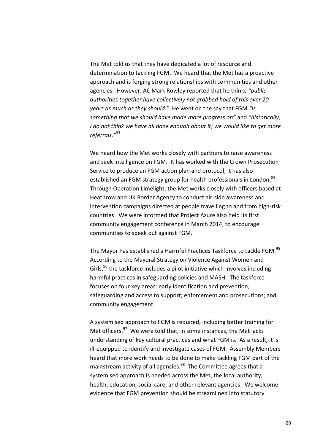The Met told us that they have dedicated a lot of resource and determination to tackling FGM**.** We heard that the Met has a proactive approach and is forging strong relationships with communities and other agencies. However, AC Mark Rowley reported that he thinks *"public authorities together have collectively not grabbed hold of this over 20 years as much as they should."* He went on the say that FGM *"is something that we should have made more progress on"* and *"historically, I do not think we have all done enough about it; we would like to get more referrals."*<sup>93</sup>

We heard how the Met works closely with partners to raise awareness and seek intelligence on FGM.It has worked with the Crown Prosecution Service to produce an FGM action plan and protocol; it has also established an FGM strategy group for health professionals in London.<sup>94</sup> Through Operation Limelight, the Met works closely with officers based at Heathrow and UK Border Agency to conduct air-side awareness and intervention campaigns directed at people travelling to and from high-risk countries. We were informed that Project Azure also held its first community engagement conference in March 2014, to encourage communities to speak out against FGM.

The Mayor has established a Harmful Practices Taskforce to tackle FGM.<sup>95</sup> According to the Mayoral Strategy on Violence Against Women and Girls, $96$  the taskforce includes a pilot initiative which involves including harmful practices in safeguarding policies and MASH. The taskforce focuses on four key areas: early identification and prevention; safeguarding and access to support; enforcement and prosecutions; and community engagement.

A systemised approach to FGM is required, including better training for Met officers.<sup>97</sup> We were told that, in some instances, the Met lacks understanding of key cultural practices and what FGM is. As a result, it is ill-equipped to identify and investigate cases of FGM. Assembly Members heard that more work needs to be done to make tackling FGM part of the mainstream activity of all agencies.<sup>98</sup> The Committee agrees that a systemised approach is needed across the Met, the local authority, health, education, social care, and other relevant agencies. We welcome evidence that FGM prevention should be streamlined into statutory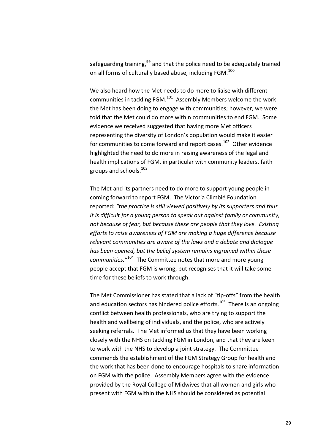safeguarding training,<sup>99</sup> and that the police need to be adequately trained on all forms of culturally based abuse, including FGM. $^{100}$ 

We also heard how the Met needs to do more to liaise with different communities in tackling FGM.<sup>101</sup> Assembly Members welcome the work the Met has been doing to engage with communities; however, we were told that the Met could do more within communities to end FGM. Some evidence we received suggested that having more Met officers representing the diversity of London's population would make it easier for communities to come forward and report cases.<sup>102</sup> Other evidence highlighted the need to do more in raising awareness of the legal and health implications of FGM, in particular with community leaders, faith groups and schools.<sup>103</sup>

The Met and its partners need to do more to support young people in coming forward to report FGM. The Victoria Climbié Foundation reported: *"the practice is still viewed positively by its supporters and thus it is difficult for a young person to speak out against family or community, not because of fear, but because these are people that they love. Existing efforts to raise awareness of FGM are making a huge difference because relevant communities are aware of the laws and a debate and dialogue has been opened, but the belief system remains ingrained within these communities."*<sup>104</sup> The Committee notes that more and more young people accept that FGM is wrong, but recognises that it will take some time for these beliefs to work through.

The Met Commissioner has stated that a lack of "tip-offs" from the health and education sectors has hindered police efforts.<sup>105</sup> There is an ongoing conflict between health professionals, who are trying to support the health and wellbeing of individuals, and the police, who are actively seeking referrals. The Met informed us that they have been working closely with the NHS on tackling FGM in London, and that they are keen to work with the NHS to develop a joint strategy. The Committee commends the establishment of the FGM Strategy Group for health and the work that has been done to encourage hospitals to share information on FGM with the police. Assembly Members agree with the evidence provided by the Royal College of Midwives that all women and girls who present with FGM within the NHS should be considered as potential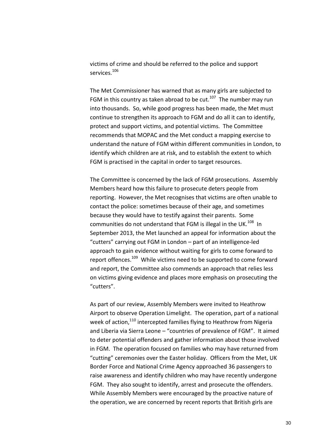victims of crime and should be referred to the police and support services.<sup>106</sup>

The Met Commissioner has warned that as many girls are subjected to FGM in this country as taken abroad to be cut.<sup>107</sup> The number may run into thousands. So, while good progress has been made, the Met must continue to strengthen its approach to FGM and do all it can to identify, protect and support victims, and potential victims. The Committee recommends that MOPAC and the Met conduct a mapping exercise to understand the nature of FGM within different communities in London, to identify which children are at risk, and to establish the extent to which FGM is practised in the capital in order to target resources.

The Committee is concerned by the lack of FGM prosecutions.Assembly Members heard how this failure to prosecute deters people from reporting. However, the Met recognises that victims are often unable to contact the police: sometimes because of their age, and sometimes because they would have to testify against their parents. Some communities do not understand that FGM is illegal in the UK.<sup>108</sup> In September 2013, the Met launched an appeal for information about the "cutters" carrying out FGM in London – part of an intelligence-led approach to gain evidence without waiting for girls to come forward to report offences.<sup>109</sup> While victims need to be supported to come forward and report, the Committee also commends an approach that relies less on victims giving evidence and places more emphasis on prosecuting the "cutters".

As part of our review, Assembly Members were invited to Heathrow Airport to observe Operation Limelight.The operation, part of a national week of action,<sup>110</sup> intercepted families flying to Heathrow from Nigeria and Liberia via Sierra Leone – "countries of prevalence of FGM". It aimed to deter potential offenders and gather information about those involved in FGM. The operation focused on families who may have returned from "cutting" ceremonies over the Easter holiday. Officers from the Met, UK Border Force and National Crime Agency approached 36 passengers to raise awareness and identify children who may have recently undergone FGM. They also sought to identify, arrest and prosecute the offenders. While Assembly Members were encouraged by the proactive nature of the operation, we are concerned by recent reports that British girls are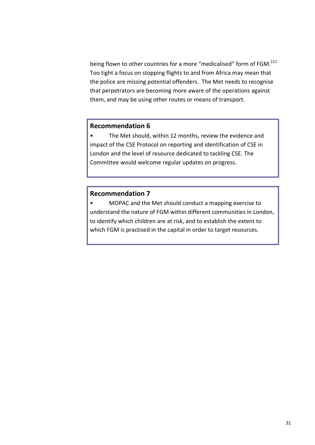being flown to other countries for a more "medicalised" form of FGM. $^{111}$ Too tight a focus on stopping flights to and from Africa may mean that the police are missing potential offenders. The Met needs to recognise that perpetrators are becoming more aware of the operations against them, and may be using other routes or means of transport.

#### **Recommendation 6**

• The Met should, within 12 months, review the evidence and impact of the CSE Protocol on reporting and identification of CSE in London and the level of resource dedicated to tackling CSE. The Committee would welcome regular updates on progress.

### **Recommendation 7**

• MOPAC and the Met should conduct a mapping exercise to understand the nature of FGM within different communities in London, to identify which children are at risk, and to establish the extent to which FGM is practised in the capital in order to target resources.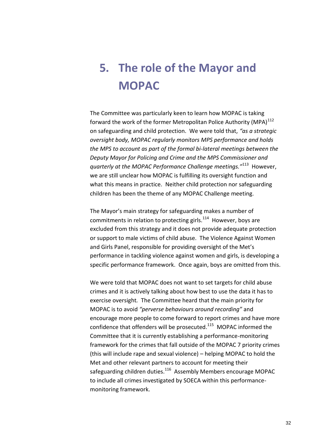# <span id="page-31-0"></span>**5. The role of the Mayor and MOPAC**

The Committee was particularly keen to learn how MOPAC is taking forward the work of the former Metropolitan Police Authority (MPA) $^{112}$ on safeguarding and child protection. We were told that, *"as a strategic oversight body, MOPAC regularly monitors MPS performance and holds the MPS to account as part of the formal bi-lateral meetings between the Deputy Mayor for Policing and Crime and the MPS Commissioner and quarterly at the MOPAC Performance Challenge meetings."*<sup>113</sup> However, we are still unclear how MOPAC is fulfilling its oversight function and what this means in practice. Neither child protection nor safeguarding children has been the theme of any MOPAC Challenge meeting.

The Mayor's main strategy for safeguarding makes a number of commitments in relation to protecting girls.<sup>114</sup> However, boys are excluded from this strategy and it does not provide adequate protection or support to male victims of child abuse. The Violence Against Women and Girls Panel, responsible for providing oversight of the Met's performance in tackling violence against women and girls, is developing a specific performance framework. Once again, boys are omitted from this.

We were told that MOPAC does not want to set targets for child abuse crimes and it is actively talking about how best to use the data it has to exercise oversight*.* The Committee heard that the main priority for MOPAC is to avoid *"perverse behaviours around recording"* and encourage more people to come forward to report crimes and have more confidence that offenders will be prosecuted. $115$  MOPAC informed the Committee that it is currently establishing a performance-monitoring framework for the crimes that fall outside of the MOPAC 7 priority crimes (this will include rape and sexual violence) – helping MOPAC to hold the Met and other relevant partners to account for meeting their safeguarding children duties.<sup>116</sup> Assembly Members encourage MOPAC to include all crimes investigated by SOECA within this performancemonitoring framework.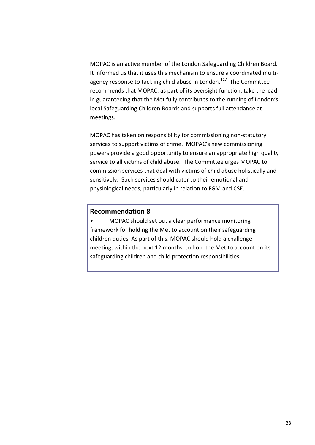MOPAC is an active member of the London Safeguarding Children Board. It informed us that it uses this mechanism to ensure a coordinated multiagency response to tackling child abuse in London.<sup>117</sup> The Committee recommends that MOPAC, as part of its oversight function, take the lead in guaranteeing that the Met fully contributes to the running of London's local Safeguarding Children Boards and supports full attendance at meetings.

MOPAC has taken on responsibility for commissioning non-statutory services to support victims of crime.MOPAC's new commissioning powers provide a good opportunity to ensure an appropriate high quality service to all victims of child abuse. The Committee urges MOPAC to commission services that deal with victims of child abuse holistically and sensitively. Such services should cater to their emotional and physiological needs, particularly in relation to FGM and CSE.

#### **Recommendation 8**

• MOPAC should set out a clear performance monitoring framework for holding the Met to account on their safeguarding children duties. As part of this, MOPAC should hold a challenge meeting, within the next 12 months, to hold the Met to account on its safeguarding children and child protection responsibilities.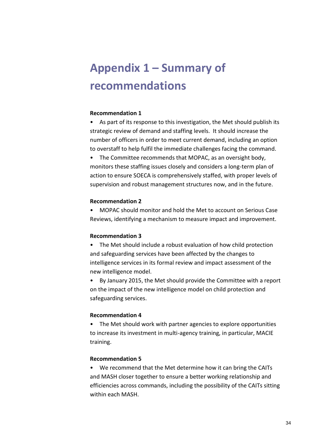# <span id="page-33-0"></span>**Appendix 1 – Summary of recommendations**

#### **Recommendation 1**

• As part of its response to this investigation, the Met should publish its strategic review of demand and staffing levels. It should increase the number of officers in order to meet current demand, including an option to overstaff to help fulfil the immediate challenges facing the command.

• The Committee recommends that MOPAC, as an oversight body, monitors these staffing issues closely and considers a long-term plan of action to ensure SOECA is comprehensively staffed, with proper levels of supervision and robust management structures now, and in the future.

#### **Recommendation 2**

• MOPAC should monitor and hold the Met to account on Serious Case Reviews, identifying a mechanism to measure impact and improvement.

#### **Recommendation 3**

• The Met should include a robust evaluation of how child protection and safeguarding services have been affected by the changes to intelligence services in its formal review and impact assessment of the new intelligence model.

• By January 2015, the Met should provide the Committee with a report on the impact of the new intelligence model on child protection and safeguarding services.

#### **Recommendation 4**

• The Met should work with partner agencies to explore opportunities to increase its investment in multi-agency training, in particular, MACIE training.

#### **Recommendation 5**

• We recommend that the Met determine how it can bring the CAITs and MASH closer together to ensure a better working relationship and efficiencies across commands, including the possibility of the CAITs sitting within each MASH.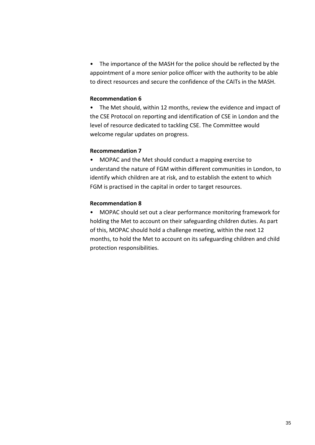• The importance of the MASH for the police should be reflected by the appointment of a more senior police officer with the authority to be able to direct resources and secure the confidence of the CAITs in the MASH.

#### **Recommendation 6**

• The Met should, within 12 months, review the evidence and impact of the CSE Protocol on reporting and identification of CSE in London and the level of resource dedicated to tackling CSE. The Committee would welcome regular updates on progress.

#### **Recommendation 7**

• MOPAC and the Met should conduct a mapping exercise to understand the nature of FGM within different communities in London, to identify which children are at risk, and to establish the extent to which FGM is practised in the capital in order to target resources.

#### **Recommendation 8**

• MOPAC should set out a clear performance monitoring framework for holding the Met to account on their safeguarding children duties. As part of this, MOPAC should hold a challenge meeting, within the next 12 months, to hold the Met to account on its safeguarding children and child protection responsibilities.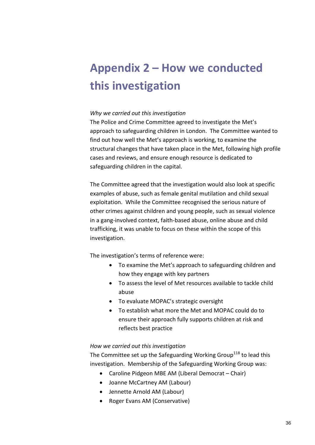# <span id="page-35-0"></span>**Appendix 2 – How we conducted this investigation**

#### *Why we carried out this investigation*

The Police and Crime Committee agreed to investigate the Met's approach to safeguarding children in London. The Committee wanted to find out how well the Met's approach is working, to examine the structural changes that have taken place in the Met, following high profile cases and reviews, and ensure enough resource is dedicated to safeguarding children in the capital.

The Committee agreed that the investigation would also look at specific examples of abuse, such as female genital mutilation and child sexual exploitation. While the Committee recognised the serious nature of other crimes against children and young people, such as sexual violence in a gang-involved context, faith-based abuse, online abuse and child trafficking, it was unable to focus on these within the scope of this investigation.

The investigation's terms of reference were:

- To examine the Met's approach to safeguarding children and how they engage with key partners
- To assess the level of Met resources available to tackle child abuse
- To evaluate MOPAC's strategic oversight
- To establish what more the Met and MOPAC could do to ensure their approach fully supports children at risk and reflects best practice

#### *How we carried out this investigation*

The Committee set up the Safeguarding Working Group<sup>118</sup> to lead this investigation. Membership of the Safeguarding Working Group was:

- Caroline Pidgeon MBE AM (Liberal Democrat Chair)
- Joanne McCartney AM (Labour)
- Jennette Arnold AM (Labour)
- Roger Evans AM (Conservative)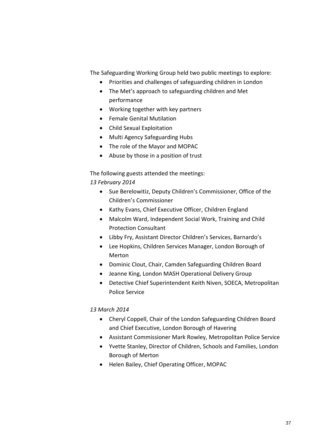The Safeguarding Working Group held two public meetings to explore:

- Priorities and challenges of safeguarding children in London
- The Met's approach to safeguarding children and Met performance
- Working together with key partners
- Female Genital Mutilation
- Child Sexual Exploitation
- Multi Agency Safeguarding Hubs
- The role of the Mayor and MOPAC
- Abuse by those in a position of trust

The following guests attended the meetings:

### *13 February 2014*

- Sue Berelowitiz, Deputy Children's Commissioner, Office of the Children's Commissioner
- Kathy Evans, Chief Executive Officer, Children England
- Malcolm Ward, Independent Social Work, Training and Child Protection Consultant
- Libby Fry, Assistant Director Children's Services, Barnardo's
- Lee Hopkins, Children Services Manager, London Borough of Merton
- Dominic Clout, Chair, Camden Safeguarding Children Board
- Jeanne King, London MASH Operational Delivery Group
- Detective Chief Superintendent Keith Niven, SOECA, Metropolitan Police Service

#### *13 March 2014*

- Cheryl Coppell, Chair of the London Safeguarding Children Board and Chief Executive, London Borough of Havering
- Assistant Commissioner Mark Rowley, Metropolitan Police Service
- Yvette Stanley, Director of Children, Schools and Families, London Borough of Merton
- Helen Bailey, Chief Operating Officer, MOPAC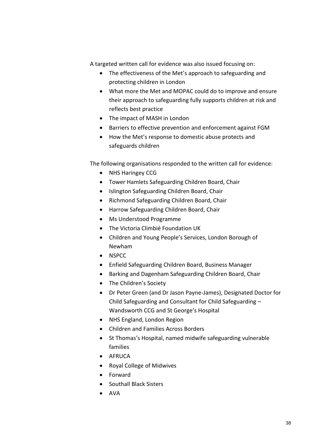A targeted written call for evidence was also issued focusing on:

- The effectiveness of the Met's approach to safeguarding and protecting children in London
- What more the Met and MOPAC could do to improve and ensure their approach to safeguarding fully supports children at risk and reflects best practice
- The impact of MASH in London
- Barriers to effective prevention and enforcement against FGM
- How the Met's response to domestic abuse protects and safeguards children

The following organisations responded to the written call for evidence:

- NHS Haringey CCG
- Tower Hamlets Safeguarding Children Board, Chair
- Islington Safeguarding Children Board, Chair
- Richmond Safeguarding Children Board, Chair
- Harrow Safeguarding Children Board, Chair
- Ms Understood Programme
- The Victoria Climbié Foundation UK
- Children and Young People's Services, London Borough of Newham
- NSPCC
- Enfield Safeguarding Children Board, Business Manager
- Barking and Dagenham Safeguarding Children Board, Chair
- The Children's Society
- Dr Peter Green (and Dr Jason Payne-James), Designated Doctor for Child Safeguarding and Consultant for Child Safeguarding – Wandsworth CCG and St George's Hospital
- NHS England, London Region
- Children and Families Across Borders
- St Thomas's Hospital, named midwife safeguarding vulnerable families
- **•** AFRUCA
- Royal College of Midwives
- Forward
- Southall Black Sisters
- AVA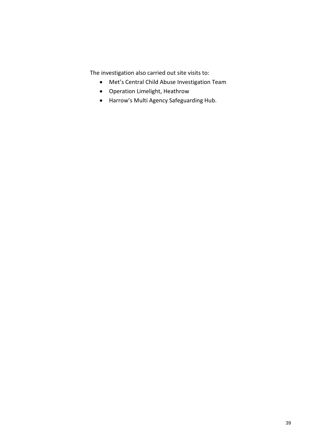The investigation also carried out site visits to:

- Met's Central Child Abuse Investigation Team
- Operation Limelight, Heathrow
- Harrow's Multi Agency Safeguarding Hub.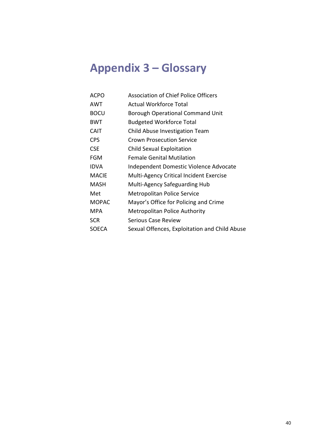## <span id="page-39-0"></span>**Appendix 3 – Glossary**

| ACPO         | <b>Association of Chief Police Officers</b>    |
|--------------|------------------------------------------------|
| AWT          | <b>Actual Workforce Total</b>                  |
| <b>BOCU</b>  | <b>Borough Operational Command Unit</b>        |
| <b>BWT</b>   | <b>Budgeted Workforce Total</b>                |
| <b>CAIT</b>  | Child Abuse Investigation Team                 |
| CPS.         | Crown Prosecution Service                      |
| <b>CSE</b>   | <b>Child Sexual Exploitation</b>               |
| FGM          | <b>Female Genital Mutilation</b>               |
| <b>IDVA</b>  | Independent Domestic Violence Advocate         |
| <b>MACIE</b> | <b>Multi-Agency Critical Incident Exercise</b> |
| MASH         | Multi-Agency Safeguarding Hub                  |
| Met          | <b>Metropolitan Police Service</b>             |
| <b>MOPAC</b> | Mayor's Office for Policing and Crime          |
| MPA          | <b>Metropolitan Police Authority</b>           |
| <b>SCR</b>   | Serious Case Review                            |
| SOECA        | Sexual Offences, Exploitation and Child Abuse  |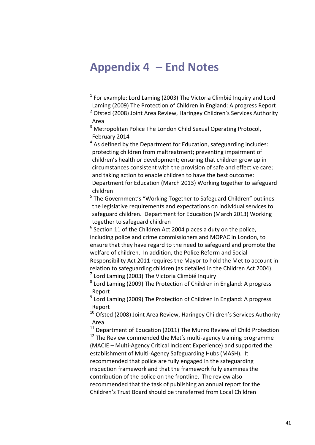### <span id="page-40-0"></span>**Appendix 4 – End Notes**

 $1$  For example: Lord Laming (2003) [The Victoria Climbié Inquiry](http://webarchive.nationalarchives.gov.uk/20130401151715/http:/www.education.gov.uk/publications/eOrderingDownload/CM-5730PDF.pdf) and Lord Laming (2009) [The Protection of Children in England: A progress Report](http://webarchive.nationalarchives.gov.uk/20130401151715/https:/www.education.gov.uk/publications/eOrderingDownload/HC-330.pdf)

<sup>2</sup> Ofsted (2008) Joint Area Review, Haringey Children's Services Authority [Area](http://webarchive.nationalarchives.gov.uk/20130401151715/http:/www.education.gov.uk/publications/eOrderingDownload/Haringey-Review.pdf)

<sup>3</sup> Metropolitan Police [The London Child Sexual Operating Protocol,](http://content.met.police.uk/cs/Satellite?blobcol=urldata&blobheadername1=Content-Type&blobheadername2=Content-Disposition&blobheadervalue1=application%2Fpdf&blobheadervalue2=inline%3B+filename%3D%22452%2F936%2FProtocol+final+PDF.pdf%22&blobkey=id&blobtable=MungoBlobs&blobwhere=1283684846364&ssbinary=true) February 2014

 $4$  As defined by the Department for Education, safeguarding includes: protecting children from maltreatment; preventing impairment of children's health or development; ensuring that children grow up in circumstances consistent with the provision of safe and effective care; and taking action to enable children to have the best outcome: Department for Education (March 2013) [Working together to safeguard](http://www.education.gov.uk/aboutdfe/statutory/g00213160/working-together-to-safeguard-children)  [children](http://www.education.gov.uk/aboutdfe/statutory/g00213160/working-together-to-safeguard-children)

<sup>5</sup> The Government's "Working Together to Safeguard Children" outlines the legislative requirements and expectations on individual services to safeguard children. Department for Education (March 2013) [Working](http://www.education.gov.uk/aboutdfe/statutory/g00213160/working-together-to-safeguard-children)  [together to safeguard children](http://www.education.gov.uk/aboutdfe/statutory/g00213160/working-together-to-safeguard-children)

 $6$  Section 11 of the Children Act 2004 places a duty on the police, including police and crime commissioners and MOPAC in London, to ensure that they have regard to the need to safeguard and promote the welfare of children. In addition, the Police Reform and Social Responsibility Act 2011 requires the Mayor to hold the Met to account in relation to safeguarding children (as detailed in the Children Act 2004).  $<sup>7</sup>$  Lord Laming (2003[\) The Victoria Climbié Inquiry](http://webarchive.nationalarchives.gov.uk/20130401151715/http:/www.education.gov.uk/publications/eOrderingDownload/CM-5730PDF.pdf)</sup>

<sup>8</sup> Lord Laming (2009) The Protection of Children in England: A progress [Report](http://webarchive.nationalarchives.gov.uk/20130401151715/https:/www.education.gov.uk/publications/eOrderingDownload/HC-330.pdf)

<sup>9</sup> Lord Laming (2009) The Protection of Children in England: A progress [Report](http://webarchive.nationalarchives.gov.uk/20130401151715/https:/www.education.gov.uk/publications/eOrderingDownload/HC-330.pdf)

 $10$  Ofsted (2008) Joint Area Review, Haringey Children's Services Authority [Area](http://webarchive.nationalarchives.gov.uk/20130401151715/http:/www.education.gov.uk/publications/eOrderingDownload/Haringey-Review.pdf)

 $11$  Department of Education (2011) [The Munro Review of Child Protection](https://www.gov.uk/government/uploads/system/uploads/attachment_data/file/175391/Munro-Review.pdf)  $12$  The Review commended the Met's multi-agency training programme (MACIE – Multi-Agency Critical Incident Experience) and supported the establishment of Multi-Agency Safeguarding Hubs (MASH). It recommended that police are fully engaged in the safeguarding inspection framework and that the framework fully examines the contribution of the police on the frontline. The review also recommended that the task of publishing an annual report for the Children's Trust Board should be transferred from Local Children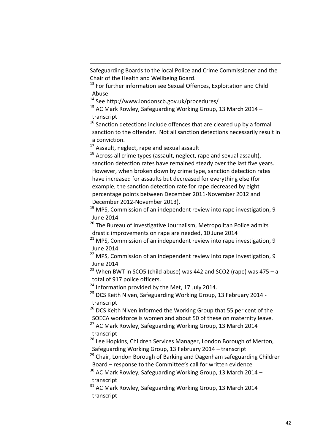Safeguarding Boards to the local Police and Crime Commissioner and the Chair of the Health and Wellbeing Board.

 $13$  For further information see Sexual Offences. Exploitation and Child [Abuse](http://content.met.police.uk/Site/sexualoffences)

<sup>14</sup> See<http://www.londonscb.gov.uk/procedures/>

 $15$  AC Mark Rowley, Safeguarding Working Group, 13 March 2014 [–](http://www.london.gov.uk/moderngov/documents/b10472/Minutes%20-%20Transcript%20-%20Appendix%201%20Thursday%2013-Mar-2014%2010.00%20Safeguarding%20Working%20Group.pdf?T=9) [transcript](http://www.london.gov.uk/moderngov/documents/b10472/Minutes%20-%20Transcript%20-%20Appendix%201%20Thursday%2013-Mar-2014%2010.00%20Safeguarding%20Working%20Group.pdf?T=9)

 $16$  Sanction detections include offences that are cleared up by a formal sanction to the offender. Not all sanction detections necessarily result in a conviction.

<sup>17</sup> Assault, neglect, rape and sexual assault

1

 $18$  Across all crime types (assault, neglect, rape and sexual assault), sanction detection rates have remained steady over the last five years. However, when broken down by crime type, sanction detection rates have increased for assaults but decreased for everything else (for example, the sanction detection rate for rape decreased by eight percentage points between December 2011-November 2012 and December 2012-November 2013).

 $19$  MPS[, Commission of an independent review into rape investigation,](http://content.met.police.uk/News/Commission-of-an-independent-review-into-rape-investigation/1400024447530/1257246741786) 9 June 2014

<sup>20</sup> The Bureau of Investigative Journalism, Metropolitan Police admits [drastic improvements on rape are needed,](http://www.thebureauinvestigates.com/2014/06/10/met-admits-drastic-improvements-on-rape-are-needed/) 10 June 2014

<sup>21</sup> MPS[, Commission of an independent review into rape investigation,](http://content.met.police.uk/News/Commission-of-an-independent-review-into-rape-investigation/1400024447530/1257246741786) 9 June 2014

<sup>22</sup> MPS[, Commission of an independent review into rape investigation,](http://content.met.police.uk/News/Commission-of-an-independent-review-into-rape-investigation/1400024447530/1257246741786) 9 June 2014

<sup>23</sup> When BWT in SCO5 (child abuse) was 442 and SCO2 (rape) was 475 – a total of 917 police officers.

 $24$  Information provided by the Met, 17 July 2014.

<sup>25</sup> DCS Keith Niven, Safeguarding Working Group, 13 February 2014 [transcript](http://www.london.gov.uk/moderngov/documents/b10015/Minutes%20-%20Transcript%20-%20Appendix%201%20Thursday%2013-Feb-2014%2010.00%20Safeguarding%20Working%20Group.pdf?T=9)

 $26$  DCS Keith Niven informed the Working Group that 55 per cent of the SOECA workforce is women and about 50 of these on maternity leave.

 $27$  AC Mark Rowley, Safeguarding Working Group, 13 March 2014 [–](http://www.london.gov.uk/moderngov/documents/b10472/Minutes%20-%20Transcript%20-%20Appendix%201%20Thursday%2013-Mar-2014%2010.00%20Safeguarding%20Working%20Group.pdf?T=9) [transcript](http://www.london.gov.uk/moderngov/documents/b10472/Minutes%20-%20Transcript%20-%20Appendix%201%20Thursday%2013-Mar-2014%2010.00%20Safeguarding%20Working%20Group.pdf?T=9)

<sup>28</sup> Lee Hopkins, Children Services Manager, London Borough of Merton, Safeguarding Working Group, 13 February 2014 – [transcript](http://www.london.gov.uk/moderngov/documents/b10015/Minutes%20-%20Transcript%20-%20Appendix%201%20Thursday%2013-Feb-2014%2010.00%20Safeguarding%20Working%20Group.pdf?T=9)

<sup>29</sup> Chair, London Borough of Barking and Dagenham safeguarding Children Board – response to the Committee's call for written evidence

 $30$  AC Mark Rowley, Safeguarding Working Group, 13 March 2014 [–](http://www.london.gov.uk/moderngov/documents/b10472/Minutes%20-%20Transcript%20-%20Appendix%201%20Thursday%2013-Mar-2014%2010.00%20Safeguarding%20Working%20Group.pdf?T=9) [transcript](http://www.london.gov.uk/moderngov/documents/b10472/Minutes%20-%20Transcript%20-%20Appendix%201%20Thursday%2013-Mar-2014%2010.00%20Safeguarding%20Working%20Group.pdf?T=9)

 $31$  AC Mark Rowley, Safeguarding Working Group, 13 March 2014 [–](http://www.london.gov.uk/moderngov/documents/b10472/Minutes%20-%20Transcript%20-%20Appendix%201%20Thursday%2013-Mar-2014%2010.00%20Safeguarding%20Working%20Group.pdf?T=9) [transcript](http://www.london.gov.uk/moderngov/documents/b10472/Minutes%20-%20Transcript%20-%20Appendix%201%20Thursday%2013-Mar-2014%2010.00%20Safeguarding%20Working%20Group.pdf?T=9)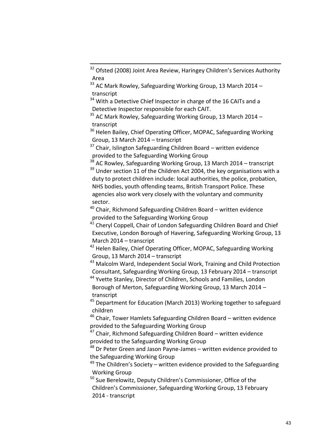1

<sup>34</sup> With a Detective Chief Inspector in charge of the 16 CAITs and a Detective Inspector responsible for each CAIT.

 $35$  AC Mark Rowley, Safeguarding Working Group, 13 March 2014 [–](http://www.london.gov.uk/moderngov/documents/b10472/Minutes%20-%20Transcript%20-%20Appendix%201%20Thursday%2013-Mar-2014%2010.00%20Safeguarding%20Working%20Group.pdf?T=9) [transcript](http://www.london.gov.uk/moderngov/documents/b10472/Minutes%20-%20Transcript%20-%20Appendix%201%20Thursday%2013-Mar-2014%2010.00%20Safeguarding%20Working%20Group.pdf?T=9)

<sup>36</sup> Helen Bailey, Chief Operating Officer, MOPAC, Safeguarding Working Group, 13 March 2014 – [transcript](http://www.london.gov.uk/moderngov/documents/b10472/Minutes%20-%20Transcript%20-%20Appendix%201%20Thursday%2013-Mar-2014%2010.00%20Safeguarding%20Working%20Group.pdf?T=9)

 $37$  Chair, Islington Safeguarding Children Board – written evidence provided to the Safeguarding Working Group

 $38$  AC Rowley, Safeguarding Working Group, 13 March 2014 – [transcript](http://www.london.gov.uk/moderngov/documents/b10472/Minutes%20-%20Transcript%20-%20Appendix%201%20Thursday%2013-Mar-2014%2010.00%20Safeguarding%20Working%20Group.pdf?T=9)  $39$  Under section 11 of the Children Act 2004, the key organisations with a duty to protect children include: local authorities, the police, probation, NHS bodies, youth offending teams, British Transport Police. These agencies also work very closely with the voluntary and community sector.

<sup>40</sup> Chair, Richmond Safeguarding Children Board – written evidence provided to the Safeguarding Working Group

<sup>41</sup> Cheryl Coppell, Chair of London Safeguarding Children Board and Chief Executive, London Borough of Havering, Safeguarding Working Group, 13 March 2014 – [transcript](http://www.london.gov.uk/moderngov/documents/b10472/Minutes%20-%20Transcript%20-%20Appendix%201%20Thursday%2013-Mar-2014%2010.00%20Safeguarding%20Working%20Group.pdf?T=9)

<sup>42</sup> Helen Bailey, Chief Operating Officer, MOPAC, Safeguarding Working Group, 13 March 2014 – [transcript](http://www.london.gov.uk/moderngov/documents/b10472/Minutes%20-%20Transcript%20-%20Appendix%201%20Thursday%2013-Mar-2014%2010.00%20Safeguarding%20Working%20Group.pdf?T=9)

<sup>43</sup> Malcolm Ward, Independent Social Work, Training and Child Protection Consultant, Safeguarding Working Group, 13 February 2014 – [transcript](http://www.london.gov.uk/moderngov/documents/b10015/Minutes%20-%20Transcript%20-%20Appendix%201%20Thursday%2013-Feb-2014%2010.00%20Safeguarding%20Working%20Group.pdf?T=9)

<sup>44</sup> Yvette Stanley, Director of Children, Schools and Families, London Borough of Merton, Safeguarding Working Group, 13 March 2014 [–](http://www.london.gov.uk/moderngov/documents/b10472/Minutes%20-%20Transcript%20-%20Appendix%201%20Thursday%2013-Mar-2014%2010.00%20Safeguarding%20Working%20Group.pdf?T=9) [transcript](http://www.london.gov.uk/moderngov/documents/b10472/Minutes%20-%20Transcript%20-%20Appendix%201%20Thursday%2013-Mar-2014%2010.00%20Safeguarding%20Working%20Group.pdf?T=9)

<sup>45</sup> Department for Education (March 2013) Working together to safeguard [children](http://www.education.gov.uk/aboutdfe/statutory/g00213160/working-together-to-safeguard-children)

<sup>46</sup> Chair, Tower Hamlets Safeguarding Children Board – written evidence provided to the Safeguarding Working Group

 $47$  Chair, Richmond Safeguarding Children Board – written evidence provided to the Safeguarding Working Group

<sup>48</sup> Dr Peter Green and Jason Payne-James – written evidence provided to the Safeguarding Working Group

 $49$  The Children's Society – written evidence provided to the Safeguarding Working Group

<sup>50</sup> Sue Berelowitz, Deputy Children's Commissioner, Office of the Children's Commissioner, Safeguarding Working Group, 13 February 2014 - [transcript](http://www.london.gov.uk/moderngov/documents/b10015/Minutes%20-%20Transcript%20-%20Appendix%201%20Thursday%2013-Feb-2014%2010.00%20Safeguarding%20Working%20Group.pdf?T=9)

<sup>&</sup>lt;sup>32</sup> Ofsted (2008) Joint Area Review, Haringey Children's Services Authority [Area](http://webarchive.nationalarchives.gov.uk/20130401151715/http:/www.education.gov.uk/publications/eOrderingDownload/Haringey-Review.pdf)

 $33$  AC Mark Rowley, Safeguarding Working Group, 13 March 2014 [–](http://www.london.gov.uk/moderngov/documents/b10472/Minutes%20-%20Transcript%20-%20Appendix%201%20Thursday%2013-Mar-2014%2010.00%20Safeguarding%20Working%20Group.pdf?T=9) [transcript](http://www.london.gov.uk/moderngov/documents/b10472/Minutes%20-%20Transcript%20-%20Appendix%201%20Thursday%2013-Mar-2014%2010.00%20Safeguarding%20Working%20Group.pdf?T=9)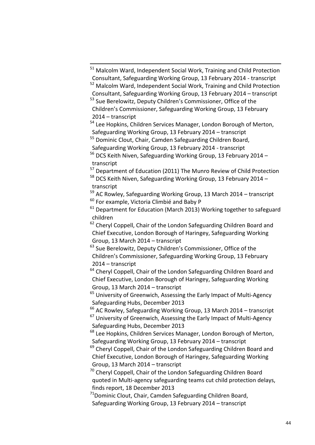<sup>51</sup> Malcolm Ward, Independent Social Work, Training and Child Protection Consultant, Safeguarding Working Group, 13 February 2014 - [transcript](http://www.london.gov.uk/moderngov/documents/b10015/Minutes%20-%20Transcript%20-%20Appendix%201%20Thursday%2013-Feb-2014%2010.00%20Safeguarding%20Working%20Group.pdf?T=9)

<sup>52</sup> Malcolm Ward, Independent Social Work, Training and Child Protection Consultant, Safeguarding Working Group, 13 February 2014 – [transcript](http://www.london.gov.uk/moderngov/documents/b10015/Minutes%20-%20Transcript%20-%20Appendix%201%20Thursday%2013-Feb-2014%2010.00%20Safeguarding%20Working%20Group.pdf?T=9)

<sup>53</sup> Sue Berelowitz, Deputy Children's Commissioner, Office of the Children's Commissioner, Safeguarding Working Group, 13 February 2014 – [transcript](http://www.london.gov.uk/moderngov/documents/b10015/Minutes%20-%20Transcript%20-%20Appendix%201%20Thursday%2013-Feb-2014%2010.00%20Safeguarding%20Working%20Group.pdf?T=9)

<sup>54</sup> Lee Hopkins, Children Services Manager, London Borough of Merton, Safeguarding Working Group, 13 February 2014 – [transcript](http://www.london.gov.uk/moderngov/documents/b10015/Minutes%20-%20Transcript%20-%20Appendix%201%20Thursday%2013-Feb-2014%2010.00%20Safeguarding%20Working%20Group.pdf?T=9)

<sup>55</sup> Dominic Clout, Chair, Camden Safeguarding Children Board,

Safeguarding Working Group, 13 February 2014 - [transcript](http://www.london.gov.uk/moderngov/documents/b10015/Minutes%20-%20Transcript%20-%20Appendix%201%20Thursday%2013-Feb-2014%2010.00%20Safeguarding%20Working%20Group.pdf?T=9)

1

<sup>56</sup> DCS Keith Niven, Safeguarding Working Group, 13 February 2014 – [transcript](http://www.london.gov.uk/moderngov/documents/b10015/Minutes%20-%20Transcript%20-%20Appendix%201%20Thursday%2013-Feb-2014%2010.00%20Safeguarding%20Working%20Group.pdf?T=9)

<sup>57</sup> Department of Education (2011) [The Munro Review of Child Protection](https://www.gov.uk/government/uploads/system/uploads/attachment_data/file/175391/Munro-Review.pdf)

 $58$  DCS Keith Niven, Safeguarding Working Group, 13 February 2014 – [transcript](http://www.london.gov.uk/moderngov/documents/b10015/Minutes%20-%20Transcript%20-%20Appendix%201%20Thursday%2013-Feb-2014%2010.00%20Safeguarding%20Working%20Group.pdf?T=9)

 $59$  AC Rowley, Safeguarding Working Group, 13 March 2014 – [transcript](http://www.london.gov.uk/moderngov/documents/b10472/Minutes%20-%20Transcript%20-%20Appendix%201%20Thursday%2013-Mar-2014%2010.00%20Safeguarding%20Working%20Group.pdf?T=9)  $60$  For example, Victoria Climbié and Baby P

 $61$  Department for Education (March 2013) Working together to safeguard [children](http://www.education.gov.uk/aboutdfe/statutory/g00213160/working-together-to-safeguard-children)

 $62$  Cheryl Coppell, Chair of the London Safeguarding Children Board and Chief Executive, London Borough of Haringey, Safeguarding Working Group, 13 March 2014 – [transcript](http://www.london.gov.uk/moderngov/documents/b10472/Minutes%20-%20Transcript%20-%20Appendix%201%20Thursday%2013-Mar-2014%2010.00%20Safeguarding%20Working%20Group.pdf?T=9)

<sup>63</sup> Sue Berelowitz, Deputy Children's Commissioner, Office of the Children's Commissioner, Safeguarding Working Group, 13 February 2014 – [transcript](http://www.london.gov.uk/moderngov/documents/b10015/Minutes%20-%20Transcript%20-%20Appendix%201%20Thursday%2013-Feb-2014%2010.00%20Safeguarding%20Working%20Group.pdf?T=9)

 $64$  Cheryl Coppell, Chair of the London Safeguarding Children Board and Chief Executive, London Borough of Haringey, Safeguarding Working Group, 13 March 2014 – [transcript](http://www.london.gov.uk/moderngov/documents/b10472/Minutes%20-%20Transcript%20-%20Appendix%201%20Thursday%2013-Mar-2014%2010.00%20Safeguarding%20Working%20Group.pdf?T=9)

 $65$  University of Greenwich, Assessing the Early Impact of Multi-Agency [Safeguarding Hubs,](http://www.londonscb.gov.uk/mash/) December 2013

 $66$  AC Rowley, Safeguarding Working Group, 13 March 2014 – [transcript](http://www.london.gov.uk/moderngov/documents/b10472/Minutes%20-%20Transcript%20-%20Appendix%201%20Thursday%2013-Mar-2014%2010.00%20Safeguarding%20Working%20Group.pdf?T=9)

 $67$  University of Greenwich, Assessing the Early Impact of Multi-Agency [Safeguarding Hubs,](http://www.londonscb.gov.uk/mash/) December 2013

<sup>68</sup> Lee Hopkins, Children Services Manager, London Borough of Merton, Safeguarding Working Group, 13 February 2014 – [transcript](http://www.london.gov.uk/moderngov/documents/b10015/Minutes%20-%20Transcript%20-%20Appendix%201%20Thursday%2013-Feb-2014%2010.00%20Safeguarding%20Working%20Group.pdf?T=9)

<sup>69</sup> Cheryl Coppell, Chair of the London Safeguarding Children Board and Chief Executive, London Borough of Haringey, Safeguarding Working Group, 13 March 2014 – [transcript](http://www.london.gov.uk/moderngov/documents/b10472/Minutes%20-%20Transcript%20-%20Appendix%201%20Thursday%2013-Mar-2014%2010.00%20Safeguarding%20Working%20Group.pdf?T=9)

 $70$  Cheryl Coppell, Chair of the London Safeguarding Children Board quoted in [Multi-agency safeguarding teams cut child protection delays,](http://www.communitycare.co.uk/2013/12/18/multi-agency-safeguarding-teams-cut-child-protection-delays-finds-report/)  [finds report,](http://www.communitycare.co.uk/2013/12/18/multi-agency-safeguarding-teams-cut-child-protection-delays-finds-report/) 18 December 2013

 $71$ Dominic Clout, Chair, Camden Safeguarding Children Board, Safeguarding Working Group, 13 February 2014 – [transcript](http://www.london.gov.uk/moderngov/documents/b10015/Minutes%20-%20Transcript%20-%20Appendix%201%20Thursday%2013-Feb-2014%2010.00%20Safeguarding%20Working%20Group.pdf?T=9)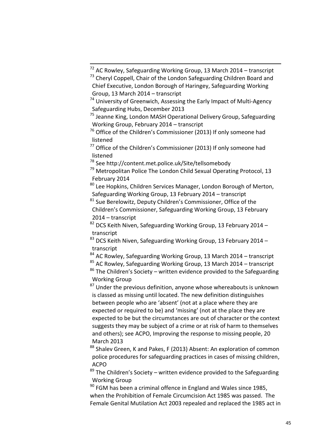<sup>73</sup> Cheryl Coppell, Chair of the London Safeguarding Children Board and Chief Executive, London Borough of Haringey, Safeguarding Working Group, 13 March 2014 – [transcript](http://www.london.gov.uk/moderngov/documents/b10472/Minutes%20-%20Transcript%20-%20Appendix%201%20Thursday%2013-Mar-2014%2010.00%20Safeguarding%20Working%20Group.pdf?T=9)

<sup>75</sup> Jeanne King, London MASH Operational Delivery Group, Safeguarding Working Group, February 2014 – [transcript](http://www.london.gov.uk/moderngov/documents/b10015/Minutes%20-%20Transcript%20-%20Appendix%201%20Thursday%2013-Feb-2014%2010.00%20Safeguarding%20Working%20Group.pdf?T=9)

<sup>76</sup> Office of the Children's Commissioner (2013) If only someone had [listened](http://www.childrenscommissioner.gov.uk/content/publications/content_743)

 $77$  Office of the Children's Commissioner (2013) If only someone had [listened](http://www.childrenscommissioner.gov.uk/content/publications/content_743)

<sup>78</sup> See<http://content.met.police.uk/Site/tellsomebody>

1

 $79$  Metropolitan Police The London Child Sexual Operating Protocol. 13 February 2014

 $80$  Lee Hopkins, Children Services Manager, London Borough of Merton, Safeguarding Working Group, 13 February 2014 – [transcript](http://www.london.gov.uk/moderngov/documents/b10015/Minutes%20-%20Transcript%20-%20Appendix%201%20Thursday%2013-Feb-2014%2010.00%20Safeguarding%20Working%20Group.pdf?T=9)

<sup>81</sup> Sue Berelowitz, Deputy Children's Commissioner, Office of the Children's Commissioner, Safeguarding Working Group, 13 February 2014 – [transcript](http://www.london.gov.uk/moderngov/documents/b10015/Minutes%20-%20Transcript%20-%20Appendix%201%20Thursday%2013-Feb-2014%2010.00%20Safeguarding%20Working%20Group.pdf?T=9)

 $82$  DCS Keith Niven, Safeguarding Working Group, 13 February 2014 – [transcript](http://www.london.gov.uk/moderngov/documents/b10015/Minutes%20-%20Transcript%20-%20Appendix%201%20Thursday%2013-Feb-2014%2010.00%20Safeguarding%20Working%20Group.pdf?T=9)

 $83$  DCS Keith Niven, Safeguarding Working Group, 13 February 2014 – [transcript](http://www.london.gov.uk/moderngov/documents/b10015/Minutes%20-%20Transcript%20-%20Appendix%201%20Thursday%2013-Feb-2014%2010.00%20Safeguarding%20Working%20Group.pdf?T=9)

 $84$  AC Rowley, Safeguarding Working Group, 13 March 2014 – [transcript](http://www.london.gov.uk/moderngov/documents/b10472/Minutes%20-%20Transcript%20-%20Appendix%201%20Thursday%2013-Mar-2014%2010.00%20Safeguarding%20Working%20Group.pdf?T=9)

 $85$  AC Rowley, Safeguarding Working Group, 13 March 2014 – [transcript](http://www.london.gov.uk/moderngov/documents/b10472/Minutes%20-%20Transcript%20-%20Appendix%201%20Thursday%2013-Mar-2014%2010.00%20Safeguarding%20Working%20Group.pdf?T=9)

 $86$  The Children's Society – written evidence provided to the Safeguarding Working Group

 $87$  Under the previous definition, anyone whose whereabouts is unknown is classed as missing until located. The new definition distinguishes between people who are 'absent' (not at a place where they are expected or required to be) and 'missing' (not at the place they are expected to be but the circumstances are out of character or the context suggests they may be subject of a crime or at risk of harm to themselves and others); see ACPO, [Improving the response to missing people,](http://www.acpo.presscentre.com/Press-Releases/Improving-the-response-to-missing-people-201.aspx) 20 March 2013

88 Shalev Green, K and Pakes, F (2013) [Absent: An exploration of common](http://www.acpo.police.uk/documents/reports/2013/201312-absent-report.pdf) [police procedures for safeguarding practices in cases of missing children,](http://www.acpo.police.uk/documents/reports/2013/201312-absent-report.pdf) ACPO

 $89$  The Children's Society – written evidence provided to the Safeguarding Working Group

 $90$  FGM has been a criminal offence in England and Wales since 1985, when the Prohibition of Female Circumcision Act 1985 was passed. The Female Genital Mutilation Act 2003 repealed and replaced the 1985 act in

 $^{72}$  AC Rowley, Safeguarding Working Group, 13 March 2014 – [transcript](http://www.london.gov.uk/moderngov/documents/b10472/Minutes%20-%20Transcript%20-%20Appendix%201%20Thursday%2013-Mar-2014%2010.00%20Safeguarding%20Working%20Group.pdf?T=9)

 $74$  University of Greenwich, Assessing the Early Impact of Multi-Agency [Safeguarding Hubs,](http://www.londonscb.gov.uk/mash/) December 2013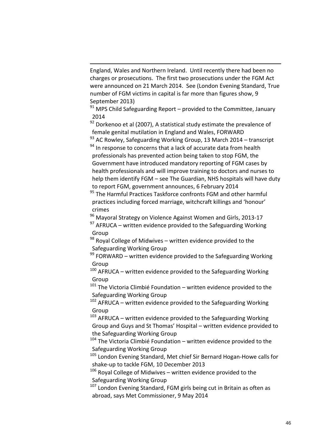England, Wales and Northern Ireland. Until recently there had been no charges or prosecutions. The first two prosecutions under the FGM Act were announced on 21 March 2014. See (London Evening Standard, [True](http://www.standard.co.uk/news/health/true-number-of-fgm-victims-in-capital-is-far-more-than-figures-show-8801826.html)  [number of FGM victims in capital is far more](http://www.standard.co.uk/news/health/true-number-of-fgm-victims-in-capital-is-far-more-than-figures-show-8801826.html) than figures show, 9 September 2013)

1

 $91$  MPS Child Safeguarding Report – provided to the Committee, January 2014

 $92$  Dorkenoo et al (2007), A statistical study estimate the prevalence of [female genital mutilation in England and Wales,](http://www.forwarduk.org.uk/key-issues/fgm/research) FORWARD

 $\frac{93}{93}$  AC Rowley, Safeguarding Working Group, 13 March 2014 – [transcript](http://www.london.gov.uk/moderngov/documents/b10472/Minutes%20-%20Transcript%20-%20Appendix%201%20Thursday%2013-Mar-2014%2010.00%20Safeguarding%20Working%20Group.pdf?T=9)  $94$  In response to concerns that a lack of accurate data from health professionals has prevented action being taken to stop FGM, the Government have introduced mandatory reporting of FGM cases by health professionals and will improve training to doctors and nurses to help them identify FGM – see The Guardian, [NHS hospitals will have duty](http://www.theguardian.com/society/2014/feb/06/nhs-hospitals-duty-report-fgm-female-genital-mutilation)  [to report FGM, government announces,](http://www.theguardian.com/society/2014/feb/06/nhs-hospitals-duty-report-fgm-female-genital-mutilation) 6 February 2014

<sup>95</sup> The Harmful Practices Taskforce confronts FGM and other harmful practices including forced marriage, witchcraft killings and 'honour' crimes

<sup>96</sup> [Mayoral Strategy on Violence Against Women and Girls,](http://www.london.gov.uk/sites/default/files/VAWG%20Strategy%20Refresh%20online.pdf) 2013-17

 $97$  AFRUCA – written evidence provided to the Safeguarding Working Group

 $98$  Royal College of Midwives – written evidence provided to the Safeguarding Working Group

 $99$  FORWARD – written evidence provided to the Safeguarding Working Group

 $100$  AFRUCA – written evidence provided to the Safeguarding Working Group

 $101$  The Victoria Climbié Foundation – written evidence provided to the Safeguarding Working Group

 $102$  AFRUCA – written evidence provided to the Safeguarding Working Group

 $103$  AFRUCA – written evidence provided to the Safeguarding Working Group and Guys and St Thomas' Hospital – written evidence provided to the Safeguarding Working Group

<sup>104</sup> The Victoria Climbié Foundation – written evidence provided to the Safeguarding Working Group

<sup>105</sup> London Evening Standard, [Met chief Sir Bernard Hogan-Howe calls for](http://www.standard.co.uk/news/crime/met-chief-sir-bernard-hoganhowe-calls-for-shakeup-to-tackle-fgm-8994686.html)  [shake-up to tackle FGM,](http://www.standard.co.uk/news/crime/met-chief-sir-bernard-hoganhowe-calls-for-shakeup-to-tackle-fgm-8994686.html) 10 December 2013

<sup>106</sup> Royal College of Midwives – written evidence provided to the Safeguarding Working Group

<sup>107</sup> London Evening Standard, [FGM girls being cut in Britain as often as](http://www.standard.co.uk/news/crime/fgm-girls-being-cut-in-britain-as-often-as-abroad-says-met-commissioner-9343724.html)  [abroad,](http://www.standard.co.uk/news/crime/fgm-girls-being-cut-in-britain-as-often-as-abroad-says-met-commissioner-9343724.html) says Met Commissioner, 9 May 2014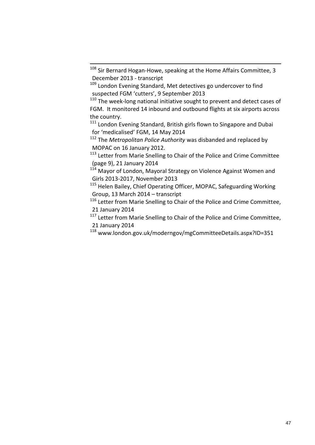1

 $110$  The week-long national initiative sought to prevent and detect cases of FGM. It monitored 14 inbound and outbound flights at six airports across the country.

<sup>111</sup> London Evening Standard, British girls flown to Singapore and Dubai [for 'medicalised' FGM](http://www.standard.co.uk/news/world/british-girls-flown-to-singapore-and-dubai-for-medicalised-fgm-9369122.html), 14 May 2014

<sup>112</sup> The *Metropolitan Police Authority* was disbanded and replaced by MOPAC on 16 January 2012.

<sup>113</sup> [Letter from Marie Snelling to Chair of the Police and Crime Committee](http://www.london.gov.uk/moderngov/documents/g5311/Public%20reports%20pack%20Thursday%2013-Feb-2014%2010.00%20Safeguarding%20Working%20Group.pdf?T=10) (page 9), 21 January 2014

<sup>114</sup> Mayor of London, Mayoral Strategy on Violence Against Women and [Girls 2013-2017,](https://www.london.gov.uk/sites/default/files/VAWG%20Strategy%20Refresh%20online.pdf) November 2013

<sup>115</sup> Helen Bailey, Chief Operating Officer, MOPAC, Safeguarding Working Group, 13 March 2014 – [transcript](http://www.london.gov.uk/moderngov/documents/b10472/Minutes%20-%20Transcript%20-%20Appendix%201%20Thursday%2013-Mar-2014%2010.00%20Safeguarding%20Working%20Group.pdf?T=9)

<sup>116</sup> [Letter from Marie Snelling to Chair of the Police and Crime Committee,](http://www.london.gov.uk/moderngov/documents/g5311/Public%20reports%20pack%20Thursday%2013-Feb-2014%2010.00%20Safeguarding%20Working%20Group.pdf?T=10) 21 January 2014

<sup>117</sup> [Letter from Marie Snelling to Chair of the Police and Crime Committee,](http://www.london.gov.uk/moderngov/documents/g5311/Public%20reports%20pack%20Thursday%2013-Feb-2014%2010.00%20Safeguarding%20Working%20Group.pdf?T=10) 21 January 2014

 $108$  Sir Bernard Hogan-Howe, speaking at the Home Affairs Committee, 3 December 2013 - [transcript](http://www.publications.parliament.uk/pa/cm201314/cmselect/cmhaff/c231-iv/c23101.htm)

 $109$  London Evening Standard, Met detectives go undercover to find [suspected FGM 'cutters'](http://www.standard.co.uk/news/crime/met-detectives-go-undercover-to-find-suspected-fgm-cutters-8805070.html), 9 September 2013

<sup>118</sup> www.london.gov.uk/moderngov/mgCommitteeDetails.aspx?ID=351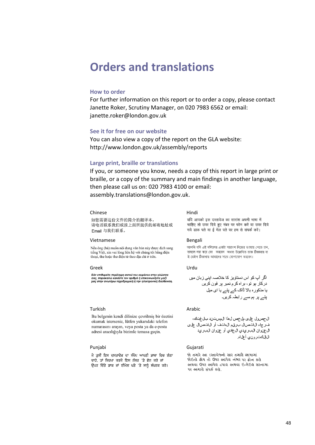### <span id="page-47-0"></span>**Orders and translations**

#### **How to order**

For further information on this report or to order a copy, please contact Janette Roker, Scrutiny Manager, on 020 7983 6562 or email: janette.roker@london.gov.uk

#### **See it for free on our website**

You can also view a copy of the report on the GLA website: http://www.london.gov.uk/assembly/reports

#### **Large print, braille or translations**

If you, or someone you know, needs a copy of this report in large print or braille, or a copy of the summary and main findings in another language, then please call us on: 020 7983 4100 or email: [assembly.translations@london.gov.uk.](mailto:assembly.translations@london.gov.uk)

#### Chinese Hindi

#### 如您需要这份文件的简介的翻译本, 请电话联系我们或按上面所提供的邮寄地址或 Email 与我们联系。

#### Vietnamese Bengali

Nếu ông (bà) muốn nội dung văn bản này được dịch sang tiếng Việt, xin vui lòng liên hệ với chúng tôi bằng điện thoại, thư hoặc thư điện tử theo địa chỉ ở trên.

#### Greek Urdu

Εάν επιθυμείτε περίληψη αυτού του κεμιένου στην γλώσσα<br>σας, παρακαλώ καλέστε τον αριθμό ή επικοινωνήστε μαζί<br>μας στην ανωτέρω ταχυδρομική ή την ηλεκτρονική διεύθυνση.

#### Turkish **Arabic**

Bu belgenin kendi dilinize cevrilmis bir özetini okumak isterseniz, lütfen yukarıdaki telefon numarasını arayın, veya posta ya da e-posta adresi aracılığıyla bizimle temasa geçin.

ਜੇ ਤੁਸੀਂ ਇਸ ਦਸਤਾਵੇਜ਼ ਦਾ ਸੰਖੇਪ ਆਪਣੀ ਭਾਸ਼ਾ ਵਿਚ ਲੈਣਾ ਚਾਹੋ, ਤਾਂ ਕਿਰਪਾ ਕਰਕੇ ਇਸ ਨੰਬਰ 'ਤੇ ਫ਼ੋਨ ਕਰੋ ਜਾਂ ਉਪਰ ਦਿੱਤੇ ਡਾਕ ਜਾਂ ਈਮੇਲ ਪਤੇ 'ਤੇ ਸਾਨੂੰ ਸੰਪਰਕ ਕਰੋ।

यदि आपको इस दस्तावेज का सारांश अपनी भाषा में चाहिए तो उपर दिये हुए नंबर पर फोन करें या उपर दिये गये डाक पते या ई मेल पते पर हम से संपर्क करें।

আপনি যদি এই দলিলের একটা সারাংশ নিজের ভাষায় পেতে চান, তাহলে দয়া করে ফো করবেন অথবা উল্লেখিত ডাক ঠিকানায় বা ই-মেইল ঠিকানায় আমাদের সাথে যোগাযোগ করবেন।

ال جص ول على جل خص ل هذا ال مستند بل غتك، ف رجاء الاتصال برقم الءاتف أو الاتصال على ال عن وان الب ريدي ال عادي أو عن وان الب ريد ال|لكت(ون0 أعلاه.

#### Punjabi Gujarati

જો તમારે આ દસ્તાવેજનો સાર તમારી ભાષામાં જોઈતો હોય તો ઉપર આપેલ નંભર પર કોન કરો અથવા ઉપર આપેલ ટપાલ અથવા ઈ-મેઈલ સરનામા ૫ર અમારો સંપર્ક કરો.